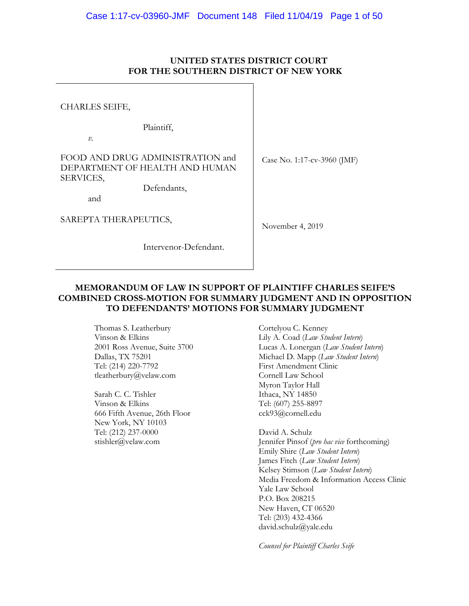## **UNITED STATES DISTRICT COURT FOR THE SOUTHERN DISTRICT OF NEW YORK**

Case No. 1:17-cv-3960 (JMF) November 4, 2019 CHARLES SEIFE, Plaintiff, *v.* FOOD AND DRUG ADMINISTRATION and DEPARTMENT OF HEALTH AND HUMAN SERVICES, Defendants, and SAREPTA THERAPEUTICS,

Intervenor-Defendant.

**MEMORANDUM OF LAW IN SUPPORT OF PLAINTIFF CHARLES SEIFE'S COMBINED CROSS-MOTION FOR SUMMARY JUDGMENT AND IN OPPOSITION TO DEFENDANTS' MOTIONS FOR SUMMARY JUDGMENT**

> Thomas S. Leatherbury Vinson & Elkins 2001 Ross Avenue, Suite 3700 Dallas, TX 75201 Tel: (214) 220-7792 tleatherbury@velaw.com

Sarah C. C. Tishler Vinson & Elkins 666 Fifth Avenue, 26th Floor New York, NY 10103 Tel: (212) 237-0000 stishler@velaw.com

Cortelyou C. Kenney Lily A. Coad (*Law Student Intern*) Lucas A. Lonergan (*Law Student Intern*) Michael D. Mapp (*Law Student Intern*) First Amendment Clinic Cornell Law School Myron Taylor Hall Ithaca, NY 14850 Tel: (607) 255-8897 cck93@cornell.edu

David A. Schulz Jennifer Pinsof (*pro hac vice* forthcoming) Emily Shire (*Law Student Intern*) James Fitch (*Law Student Intern*) Kelsey Stimson (*Law Student Intern*) Media Freedom & Information Access Clinic Yale Law School P.O. Box 208215 New Haven, CT 06520 Tel: (203) 432-4366 david.schulz@yale.edu

*Counsel for Plaintiff Charles Seife*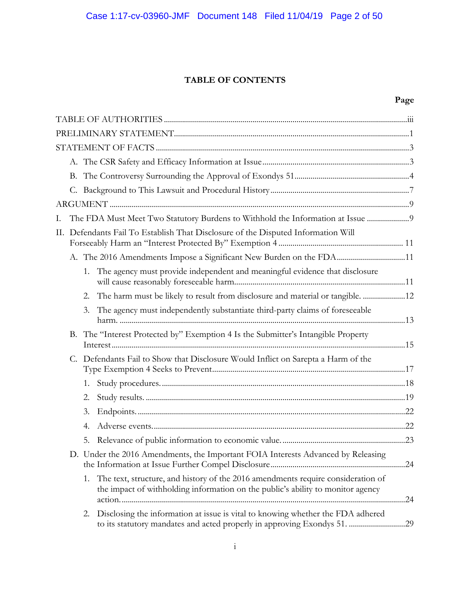## **TABLE OF CONTENTS**

## **Page**

| Ι. |                                                                                   |    | The FDA Must Meet Two Statutory Burdens to Withhold the Information at Issue                                                                                        |  |  |
|----|-----------------------------------------------------------------------------------|----|---------------------------------------------------------------------------------------------------------------------------------------------------------------------|--|--|
|    | II. Defendants Fail To Establish That Disclosure of the Disputed Information Will |    |                                                                                                                                                                     |  |  |
|    |                                                                                   |    | A. The 2016 Amendments Impose a Significant New Burden on the FDA11                                                                                                 |  |  |
|    |                                                                                   | 1. | The agency must provide independent and meaningful evidence that disclosure                                                                                         |  |  |
|    |                                                                                   | 2. | The harm must be likely to result from disclosure and material or tangible. 12                                                                                      |  |  |
|    |                                                                                   | 3. | The agency must independently substantiate third-party claims of foreseeable                                                                                        |  |  |
|    | В.                                                                                |    | The "Interest Protected by" Exemption 4 Is the Submitter's Intangible Property                                                                                      |  |  |
|    |                                                                                   |    | C. Defendants Fail to Show that Disclosure Would Inflict on Sarepta a Harm of the                                                                                   |  |  |
|    |                                                                                   | 1. |                                                                                                                                                                     |  |  |
|    |                                                                                   | 2. |                                                                                                                                                                     |  |  |
|    |                                                                                   | 3. |                                                                                                                                                                     |  |  |
|    |                                                                                   | 4. |                                                                                                                                                                     |  |  |
|    |                                                                                   | 5. |                                                                                                                                                                     |  |  |
|    |                                                                                   |    | D. Under the 2016 Amendments, the Important FOIA Interests Advanced by Releasing                                                                                    |  |  |
|    |                                                                                   | 1. | The text, structure, and history of the 2016 amendments require consideration of<br>the impact of withholding information on the public's ability to monitor agency |  |  |
|    |                                                                                   | 2. | Disclosing the information at issue is vital to knowing whether the FDA adhered<br>to its statutory mandates and acted properly in approving Exondys 51. 29         |  |  |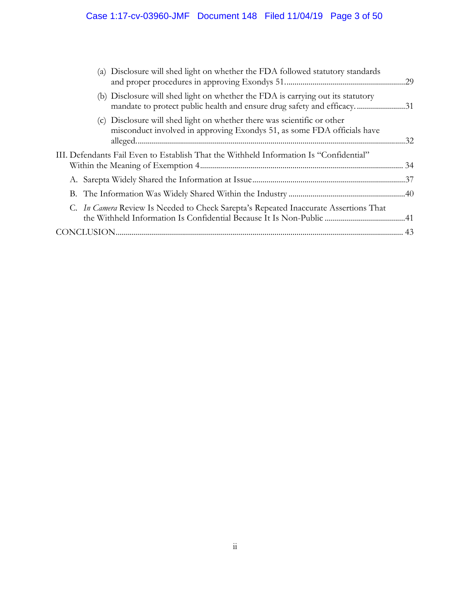| (a) Disclosure will shed light on whether the FDA followed statutory standards                                                                            |  |
|-----------------------------------------------------------------------------------------------------------------------------------------------------------|--|
| (b) Disclosure will shed light on whether the FDA is carrying out its statutory<br>mandate to protect public health and ensure drug safety and efficacy31 |  |
| (c) Disclosure will shed light on whether there was scientific or other<br>misconduct involved in approving Exondys 51, as some FDA officials have        |  |
| III. Defendants Fail Even to Establish That the Withheld Information Is "Confidential"                                                                    |  |
|                                                                                                                                                           |  |
|                                                                                                                                                           |  |
| C. <i>In Camera</i> Review Is Needed to Check Sarepta's Repeated Inaccurate Assertions That                                                               |  |
|                                                                                                                                                           |  |
|                                                                                                                                                           |  |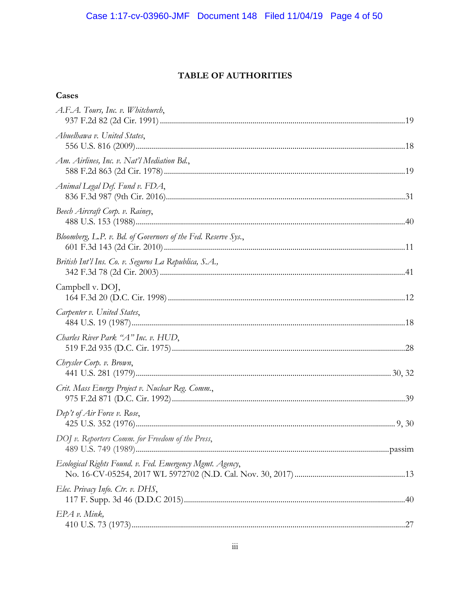# TABLE OF AUTHORITIES

| A.F.A. Tours, Inc. v. Whitchurch,                             |  |
|---------------------------------------------------------------|--|
| Abuelhawa v. United States,                                   |  |
| Am. Airlines, Inc. v. Nat'l Mediation Bd.,                    |  |
| Animal Legal Def. Fund v. FDA,                                |  |
| Beech Aircraft Corp. v. Rainey,                               |  |
| Bloomberg, L.P. v. Bd. of Governors of the Fed. Reserve Sys., |  |
| British Int'l Ins. Co. v. Seguros La Republica, S.A.,         |  |
| Campbell v. DOJ,                                              |  |
| Carpenter v. United States,                                   |  |
| Charles River Park "A" Inc. v. HUD,                           |  |
| Chrysler Corp. v. Brown,                                      |  |
| Crit. Mass Energy Project v. Nuclear Reg. Comm.,              |  |
| Dep't of Air Force v. Rose,                                   |  |
| DOJ v. Reporters Comm. for Freedom of the Press,              |  |
| Ecological Rights Found. v. Fed. Emergency Mgmt. Agency,      |  |
| Elec. Privacy Info. Ctr. v. DHS,                              |  |
| EPA v. Mink,                                                  |  |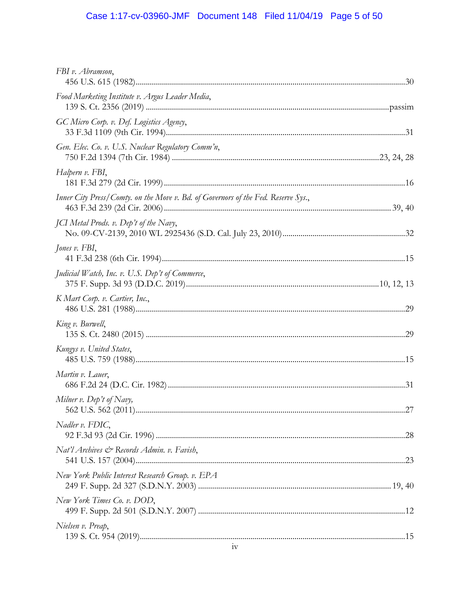# Case 1:17-cv-03960-JMF Document 148 Filed 11/04/19 Page 5 of 50

| FBI v. Abramson,                                                                  |  |
|-----------------------------------------------------------------------------------|--|
| Food Marketing Institute v. Argus Leader Media,                                   |  |
| GC Micro Corp. v. Def. Logistics Agency,                                          |  |
| Gen. Elec. Co. v. U.S. Nuclear Regulatory Comm'n,                                 |  |
| Halpern v. FBI,                                                                   |  |
| Inner City Press/Comty. on the Move v. Bd. of Governors of the Fed. Reserve Sys., |  |
| <i>JCI</i> Metal Prods. v. Dep't of the Navy,                                     |  |
| Jones v. FBI,                                                                     |  |
| <i>Judicial Watch, Inc. v. U.S. Dep't of Commerce,</i>                            |  |
| K Mart Corp. v. Cartier, Inc.,                                                    |  |
| King v. Burwell,                                                                  |  |
| Kungys v. United States,                                                          |  |
| Martin v. Lauer,                                                                  |  |
| Milner v. Dep't of Navy,                                                          |  |
| Nadler v. FDIC,                                                                   |  |
| Nat'l Archives & Records Admin. v. Favish,                                        |  |
| New York Public Interest Research Group. v. EPA                                   |  |
| New York Times Co. v. DOD,                                                        |  |
| Nielsen v. Preap,                                                                 |  |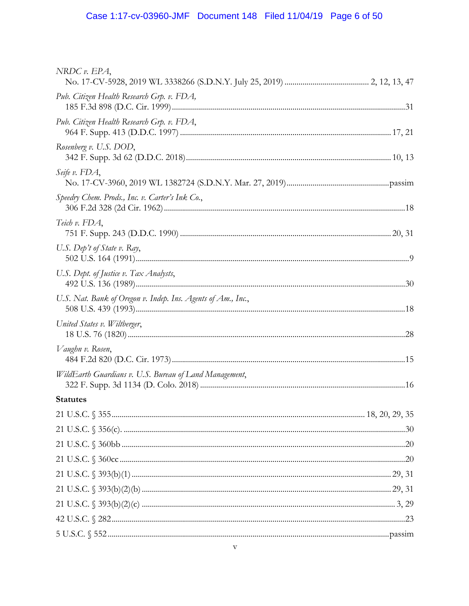| NRDC v. EPA,                                                 |  |
|--------------------------------------------------------------|--|
| Pub. Citizen Health Research Grp. v. FDA,                    |  |
| Pub. Citizen Health Research Grp. v. FDA,                    |  |
| Rosenberg v. U.S. DOD,                                       |  |
| Seife v. FDA,                                                |  |
| Speedry Chem. Prods., Inc. v. Carter's Ink Co.,              |  |
| Teich v. FDA,                                                |  |
| U.S. Dep't of State v. Ray,                                  |  |
| U.S. Dept. of Justice v. Tax Analysts,                       |  |
| U.S. Nat. Bank of Oregon v. Indep. Ins. Agents of Am., Inc., |  |
| United States v. Wiltberger,                                 |  |
| Vaughn v. Rosen,                                             |  |
| WildEarth Guardians v. U.S. Bureau of Land Management,       |  |
| <b>Statutes</b>                                              |  |
|                                                              |  |
|                                                              |  |
|                                                              |  |
|                                                              |  |
|                                                              |  |
|                                                              |  |
|                                                              |  |
|                                                              |  |
|                                                              |  |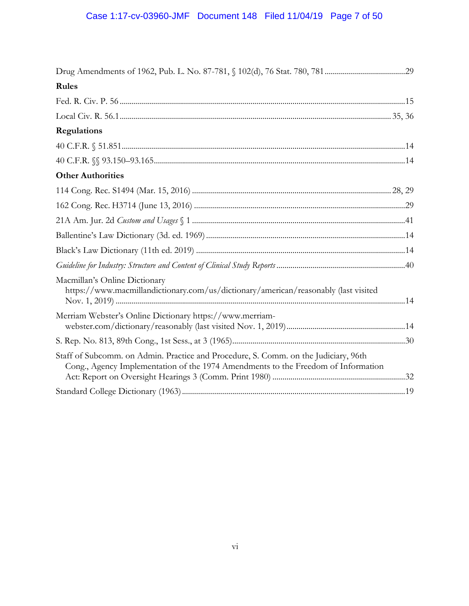| Rules                                                                                                                                                                    |  |
|--------------------------------------------------------------------------------------------------------------------------------------------------------------------------|--|
|                                                                                                                                                                          |  |
|                                                                                                                                                                          |  |
| <b>Regulations</b>                                                                                                                                                       |  |
|                                                                                                                                                                          |  |
|                                                                                                                                                                          |  |
| <b>Other Authorities</b>                                                                                                                                                 |  |
|                                                                                                                                                                          |  |
|                                                                                                                                                                          |  |
|                                                                                                                                                                          |  |
|                                                                                                                                                                          |  |
|                                                                                                                                                                          |  |
|                                                                                                                                                                          |  |
| Macmillan's Online Dictionary<br>https://www.macmillandictionary.com/us/dictionary/american/reasonably (last visited                                                     |  |
| Merriam Webster's Online Dictionary https://www.merriam-                                                                                                                 |  |
|                                                                                                                                                                          |  |
| Staff of Subcomm. on Admin. Practice and Procedure, S. Comm. on the Judiciary, 96th<br>Cong., Agency Implementation of the 1974 Amendments to the Freedom of Information |  |
|                                                                                                                                                                          |  |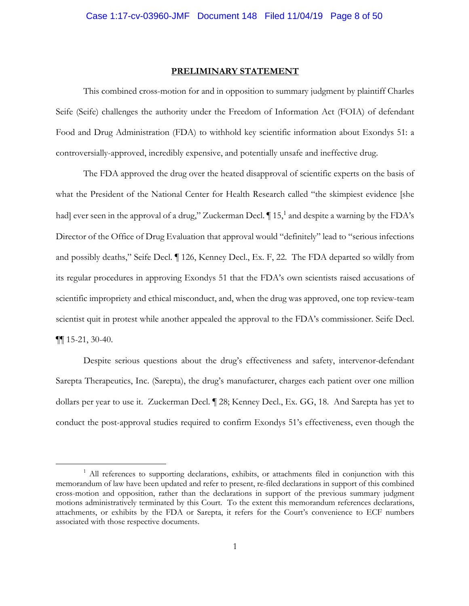#### **PRELIMINARY STATEMENT**

This combined cross-motion for and in opposition to summary judgment by plaintiff Charles Seife (Seife) challenges the authority under the Freedom of Information Act (FOIA) of defendant Food and Drug Administration (FDA) to withhold key scientific information about Exondys 51: a controversially-approved, incredibly expensive, and potentially unsafe and ineffective drug.

The FDA approved the drug over the heated disapproval of scientific experts on the basis of what the President of the National Center for Health Research called "the skimpiest evidence [she had] ever seen in the approval of a drug," Zuckerman Decl.  $\P$ 15,<sup>1</sup> and despite a warning by the FDA's Director of the Office of Drug Evaluation that approval would "definitely" lead to "serious infections and possibly deaths," Seife Decl. ¶ 126, Kenney Decl., Ex. F, 22. The FDA departed so wildly from its regular procedures in approving Exondys 51 that the FDA's own scientists raised accusations of scientific impropriety and ethical misconduct, and, when the drug was approved, one top review-team scientist quit in protest while another appealed the approval to the FDA's commissioner. Seife Decl. ¶¶ 15-21, 30-40.

Despite serious questions about the drug's effectiveness and safety, intervenor-defendant Sarepta Therapeutics, Inc. (Sarepta), the drug's manufacturer, charges each patient over one million dollars per year to use it. Zuckerman Decl. ¶ 28; Kenney Decl., Ex. GG, 18. And Sarepta has yet to conduct the post-approval studies required to confirm Exondys 51's effectiveness, even though the

 $1$  All references to supporting declarations, exhibits, or attachments filed in conjunction with this memorandum of law have been updated and refer to present, re-filed declarations in support of this combined cross-motion and opposition, rather than the declarations in support of the previous summary judgment motions administratively terminated by this Court. To the extent this memorandum references declarations, attachments, or exhibits by the FDA or Sarepta, it refers for the Court's convenience to ECF numbers associated with those respective documents.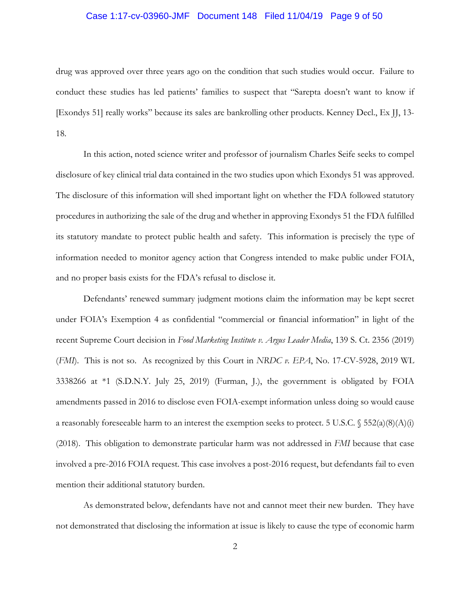## Case 1:17-cv-03960-JMF Document 148 Filed 11/04/19 Page 9 of 50

drug was approved over three years ago on the condition that such studies would occur. Failure to conduct these studies has led patients' families to suspect that "Sarepta doesn't want to know if [Exondys 51] really works" because its sales are bankrolling other products. Kenney Decl., Ex JJ, 13- 18.

In this action, noted science writer and professor of journalism Charles Seife seeks to compel disclosure of key clinical trial data contained in the two studies upon which Exondys 51 was approved. The disclosure of this information will shed important light on whether the FDA followed statutory procedures in authorizing the sale of the drug and whether in approving Exondys 51 the FDA fulfilled its statutory mandate to protect public health and safety. This information is precisely the type of information needed to monitor agency action that Congress intended to make public under FOIA, and no proper basis exists for the FDA's refusal to disclose it.

Defendants' renewed summary judgment motions claim the information may be kept secret under FOIA's Exemption 4 as confidential "commercial or financial information" in light of the recent Supreme Court decision in *Food Marketing Institute v. Argus Leader Media*, 139 S. Ct. 2356 (2019) (*FMI*). This is not so. As recognized by this Court in *NRDC v. EPA*, No. 17-CV-5928, 2019 WL 3338266 at \*1 (S.D.N.Y. July 25, 2019) (Furman, J.), the government is obligated by FOIA amendments passed in 2016 to disclose even FOIA-exempt information unless doing so would cause a reasonably foreseeable harm to an interest the exemption seeks to protect. 5 U.S.C.  $\S$  552(a)(8)(A)(i) (2018). This obligation to demonstrate particular harm was not addressed in *FMI* because that case involved a pre-2016 FOIA request. This case involves a post-2016 request, but defendants fail to even mention their additional statutory burden.

As demonstrated below, defendants have not and cannot meet their new burden. They have not demonstrated that disclosing the information at issue is likely to cause the type of economic harm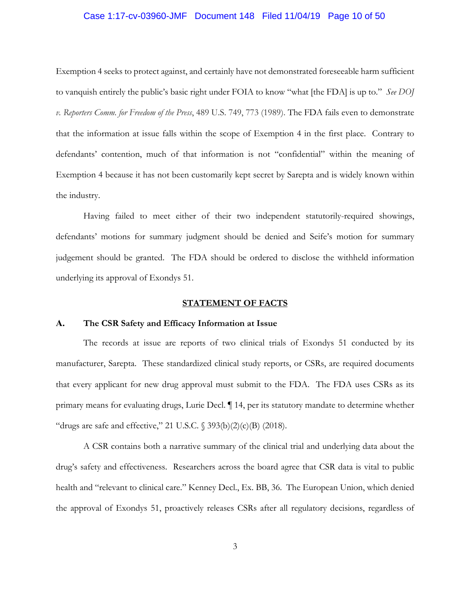#### Case 1:17-cv-03960-JMF Document 148 Filed 11/04/19 Page 10 of 50

Exemption 4 seeks to protect against, and certainly have not demonstrated foreseeable harm sufficient to vanquish entirely the public's basic right under FOIA to know "what [the FDA] is up to." *See DOJ v. Reporters Comm. for Freedom of the Press*, 489 U.S. 749, 773 (1989). The FDA fails even to demonstrate that the information at issue falls within the scope of Exemption 4 in the first place. Contrary to defendants' contention, much of that information is not "confidential" within the meaning of Exemption 4 because it has not been customarily kept secret by Sarepta and is widely known within the industry.

Having failed to meet either of their two independent statutorily-required showings, defendants' motions for summary judgment should be denied and Seife's motion for summary judgement should be granted. The FDA should be ordered to disclose the withheld information underlying its approval of Exondys 51.

### **STATEMENT OF FACTS**

#### **A. The CSR Safety and Efficacy Information at Issue**

The records at issue are reports of two clinical trials of Exondys 51 conducted by its manufacturer, Sarepta. These standardized clinical study reports, or CSRs, are required documents that every applicant for new drug approval must submit to the FDA. The FDA uses CSRs as its primary means for evaluating drugs, Lurie Decl. ¶ 14, per its statutory mandate to determine whether "drugs are safe and effective," 21 U.S.C.  $\S$  393(b)(2)(c)(B) (2018).

A CSR contains both a narrative summary of the clinical trial and underlying data about the drug's safety and effectiveness. Researchers across the board agree that CSR data is vital to public health and "relevant to clinical care." Kenney Decl., Ex. BB, 36. The European Union, which denied the approval of Exondys 51, proactively releases CSRs after all regulatory decisions, regardless of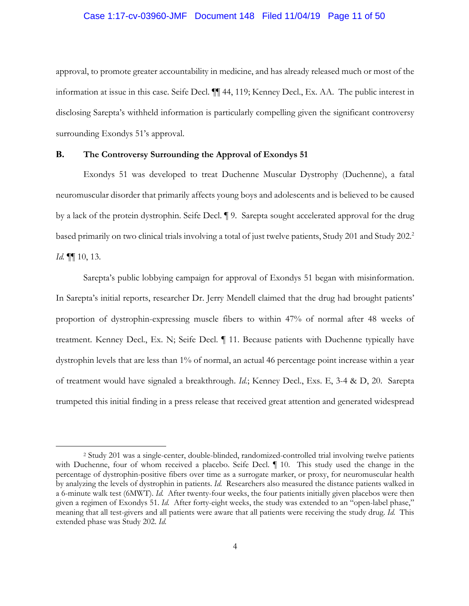#### Case 1:17-cv-03960-JMF Document 148 Filed 11/04/19 Page 11 of 50

approval, to promote greater accountability in medicine, and has already released much or most of the information at issue in this case. Seife Decl. ¶¶ 44, 119; Kenney Decl., Ex. AA. The public interest in disclosing Sarepta's withheld information is particularly compelling given the significant controversy surrounding Exondys 51's approval.

### **B. The Controversy Surrounding the Approval of Exondys 51**

Exondys 51 was developed to treat Duchenne Muscular Dystrophy (Duchenne), a fatal neuromuscular disorder that primarily affects young boys and adolescents and is believed to be caused by a lack of the protein dystrophin. Seife Decl. ¶ 9. Sarepta sought accelerated approval for the drug based primarily on two clinical trials involving a total of just twelve patients, Study 201 and Study 202.2 *Id.* ¶¶ 10, 13.

Sarepta's public lobbying campaign for approval of Exondys 51 began with misinformation. In Sarepta's initial reports, researcher Dr. Jerry Mendell claimed that the drug had brought patients' proportion of dystrophin-expressing muscle fibers to within 47% of normal after 48 weeks of treatment. Kenney Decl., Ex. N; Seife Decl. ¶ 11. Because patients with Duchenne typically have dystrophin levels that are less than 1% of normal, an actual 46 percentage point increase within a year of treatment would have signaled a breakthrough. *Id.*; Kenney Decl., Exs. E, 3-4 & D, 20. Sarepta trumpeted this initial finding in a press release that received great attention and generated widespread

<sup>2</sup> Study 201 was a single-center, double-blinded, randomized-controlled trial involving twelve patients with Duchenne, four of whom received a placebo. Seife Decl.  $\P$  10. This study used the change in the percentage of dystrophin-positive fibers over time as a surrogate marker, or proxy, for neuromuscular health by analyzing the levels of dystrophin in patients. *Id.* Researchers also measured the distance patients walked in a 6-minute walk test (6MWT). *Id.* After twenty-four weeks, the four patients initially given placebos were then given a regimen of Exondys 51. *Id.* After forty-eight weeks, the study was extended to an "open-label phase," meaning that all test-givers and all patients were aware that all patients were receiving the study drug. *Id.* This extended phase was Study 202. *Id.*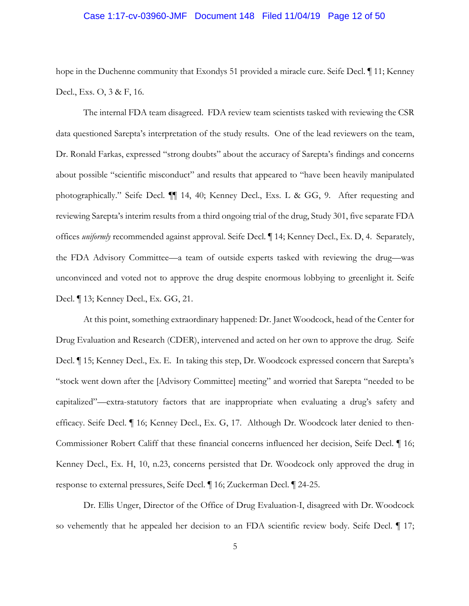#### Case 1:17-cv-03960-JMF Document 148 Filed 11/04/19 Page 12 of 50

hope in the Duchenne community that Exondys 51 provided a miracle cure. Seife Decl. ¶ 11; Kenney Decl., Exs. O, 3 & F, 16.

The internal FDA team disagreed. FDA review team scientists tasked with reviewing the CSR data questioned Sarepta's interpretation of the study results. One of the lead reviewers on the team, Dr. Ronald Farkas, expressed "strong doubts" about the accuracy of Sarepta's findings and concerns about possible "scientific misconduct" and results that appeared to "have been heavily manipulated photographically." Seife Decl. ¶¶ 14, 40; Kenney Decl., Exs. L & GG, 9. After requesting and reviewing Sarepta's interim results from a third ongoing trial of the drug, Study 301, five separate FDA offices *uniformly* recommended against approval. Seife Decl. ¶ 14; Kenney Decl., Ex. D, 4. Separately, the FDA Advisory Committee—a team of outside experts tasked with reviewing the drug—was unconvinced and voted not to approve the drug despite enormous lobbying to greenlight it. Seife Decl. ¶ 13; Kenney Decl., Ex. GG, 21.

At this point, something extraordinary happened: Dr. Janet Woodcock, head of the Center for Drug Evaluation and Research (CDER), intervened and acted on her own to approve the drug. Seife Decl. ¶ 15; Kenney Decl., Ex. E. In taking this step, Dr. Woodcock expressed concern that Sarepta's "stock went down after the [Advisory Committee] meeting" and worried that Sarepta "needed to be capitalized"—extra-statutory factors that are inappropriate when evaluating a drug's safety and efficacy. Seife Decl. ¶ 16; Kenney Decl., Ex. G, 17. Although Dr. Woodcock later denied to then-Commissioner Robert Califf that these financial concerns influenced her decision, Seife Decl. ¶ 16; Kenney Decl., Ex. H, 10, n.23, concerns persisted that Dr. Woodcock only approved the drug in response to external pressures, Seife Decl. ¶ 16; Zuckerman Decl. ¶ 24-25.

Dr. Ellis Unger, Director of the Office of Drug Evaluation-I, disagreed with Dr. Woodcock so vehemently that he appealed her decision to an FDA scientific review body. Seife Decl.  $\P$  17;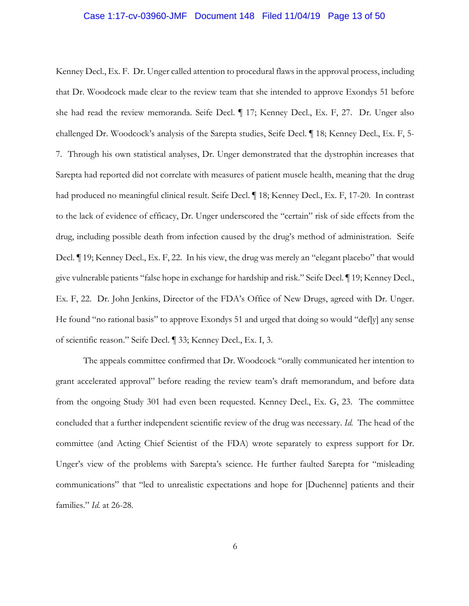#### Case 1:17-cv-03960-JMF Document 148 Filed 11/04/19 Page 13 of 50

Kenney Decl., Ex. F. Dr. Unger called attention to procedural flaws in the approval process, including that Dr. Woodcock made clear to the review team that she intended to approve Exondys 51 before she had read the review memoranda. Seife Decl. ¶ 17; Kenney Decl., Ex. F, 27. Dr. Unger also challenged Dr. Woodcock's analysis of the Sarepta studies, Seife Decl. ¶ 18; Kenney Decl., Ex. F, 5- 7. Through his own statistical analyses, Dr. Unger demonstrated that the dystrophin increases that Sarepta had reported did not correlate with measures of patient muscle health, meaning that the drug had produced no meaningful clinical result. Seife Decl. ¶ 18; Kenney Decl., Ex. F, 17-20. In contrast to the lack of evidence of efficacy, Dr. Unger underscored the "certain" risk of side effects from the drug, including possible death from infection caused by the drug's method of administration. Seife Decl. ¶ 19; Kenney Decl., Ex. F, 22. In his view, the drug was merely an "elegant placebo" that would give vulnerable patients "false hope in exchange for hardship and risk." Seife Decl. ¶ 19; Kenney Decl., Ex. F, 22. Dr. John Jenkins, Director of the FDA's Office of New Drugs, agreed with Dr. Unger. He found "no rational basis" to approve Exondys 51 and urged that doing so would "def[y] any sense of scientific reason." Seife Decl. ¶ 33; Kenney Decl., Ex. I, 3.

The appeals committee confirmed that Dr. Woodcock "orally communicated her intention to grant accelerated approval" before reading the review team's draft memorandum, and before data from the ongoing Study 301 had even been requested. Kenney Decl., Ex. G, 23. The committee concluded that a further independent scientific review of the drug was necessary. *Id.* The head of the committee (and Acting Chief Scientist of the FDA) wrote separately to express support for Dr. Unger's view of the problems with Sarepta's science. He further faulted Sarepta for "misleading communications" that "led to unrealistic expectations and hope for [Duchenne] patients and their families." *Id.* at 26-28.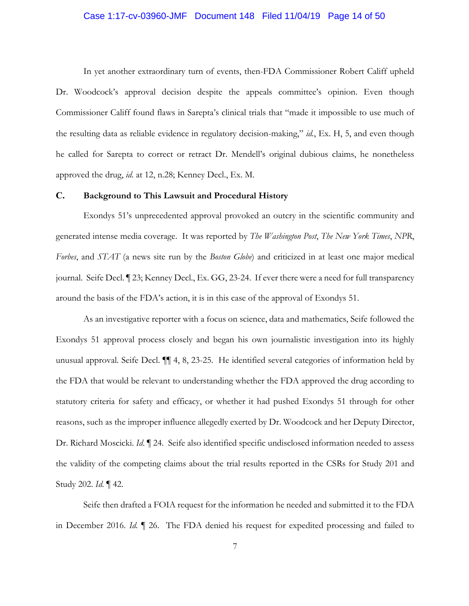#### Case 1:17-cv-03960-JMF Document 148 Filed 11/04/19 Page 14 of 50

In yet another extraordinary turn of events, then-FDA Commissioner Robert Califf upheld Dr. Woodcock's approval decision despite the appeals committee's opinion. Even though Commissioner Califf found flaws in Sarepta's clinical trials that "made it impossible to use much of the resulting data as reliable evidence in regulatory decision-making," *id.*, Ex. H, 5, and even though he called for Sarepta to correct or retract Dr. Mendell's original dubious claims, he nonetheless approved the drug, *id*. at 12, n.28; Kenney Decl., Ex. M.

## **C. Background to This Lawsuit and Procedural History**

Exondys 51's unprecedented approval provoked an outcry in the scientific community and generated intense media coverage. It was reported by *The Washington Post*, *The New York Times*, *NPR*, *Forbes*, and *STAT* (a news site run by the *Boston Globe*) and criticized in at least one major medical journal. Seife Decl. ¶ 23; Kenney Decl., Ex. GG, 23-24. If ever there were a need for full transparency around the basis of the FDA's action, it is in this case of the approval of Exondys 51.

As an investigative reporter with a focus on science, data and mathematics, Seife followed the Exondys 51 approval process closely and began his own journalistic investigation into its highly unusual approval. Seife Decl. ¶¶ 4, 8, 23-25. He identified several categories of information held by the FDA that would be relevant to understanding whether the FDA approved the drug according to statutory criteria for safety and efficacy, or whether it had pushed Exondys 51 through for other reasons, such as the improper influence allegedly exerted by Dr. Woodcock and her Deputy Director, Dr. Richard Moscicki. *Id*. ¶ 24. Seife also identified specific undisclosed information needed to assess the validity of the competing claims about the trial results reported in the CSRs for Study 201 and Study 202. *Id*. ¶ 42.

Seife then drafted a FOIA request for the information he needed and submitted it to the FDA in December 2016. *Id.* ¶ 26. The FDA denied his request for expedited processing and failed to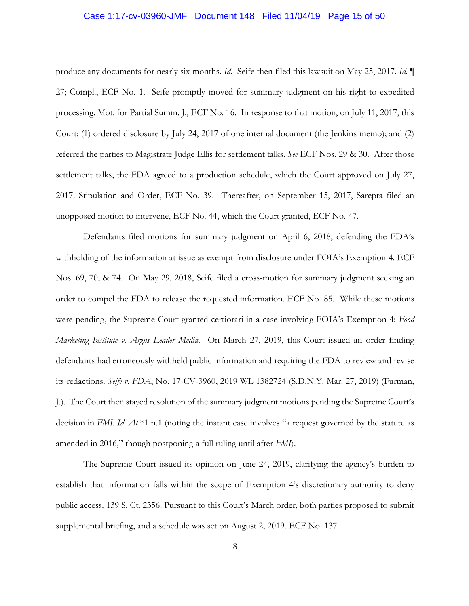#### Case 1:17-cv-03960-JMF Document 148 Filed 11/04/19 Page 15 of 50

produce any documents for nearly six months. *Id.* Seife then filed this lawsuit on May 25, 2017. *Id.* ¶ 27; Compl., ECF No. 1. Seife promptly moved for summary judgment on his right to expedited processing. Mot. for Partial Summ. J., ECF No. 16. In response to that motion, on July 11, 2017, this Court: (1) ordered disclosure by July 24, 2017 of one internal document (the Jenkins memo); and (2) referred the parties to Magistrate Judge Ellis for settlement talks. *See* ECF Nos. 29 & 30. After those settlement talks, the FDA agreed to a production schedule, which the Court approved on July 27, 2017. Stipulation and Order, ECF No. 39. Thereafter, on September 15, 2017, Sarepta filed an unopposed motion to intervene, ECF No. 44, which the Court granted, ECF No. 47.

Defendants filed motions for summary judgment on April 6, 2018, defending the FDA's withholding of the information at issue as exempt from disclosure under FOIA's Exemption 4. ECF Nos. 69, 70, & 74. On May 29, 2018, Seife filed a cross-motion for summary judgment seeking an order to compel the FDA to release the requested information. ECF No. 85. While these motions were pending, the Supreme Court granted certiorari in a case involving FOIA's Exemption 4: *Food Marketing Institute v. Argus Leader Media*. On March 27, 2019, this Court issued an order finding defendants had erroneously withheld public information and requiring the FDA to review and revise its redactions. *Seife v. FDA*, No. 17-CV-3960, 2019 WL 1382724 (S.D.N.Y. Mar. 27, 2019) (Furman, J.). The Court then stayed resolution of the summary judgment motions pending the Supreme Court's decision in *FMI*. *Id. At* \*1 n.1 (noting the instant case involves "a request governed by the statute as amended in 2016," though postponing a full ruling until after *FMI*).

The Supreme Court issued its opinion on June 24, 2019, clarifying the agency's burden to establish that information falls within the scope of Exemption 4's discretionary authority to deny public access. 139 S. Ct. 2356. Pursuant to this Court's March order, both parties proposed to submit supplemental briefing, and a schedule was set on August 2, 2019. ECF No. 137.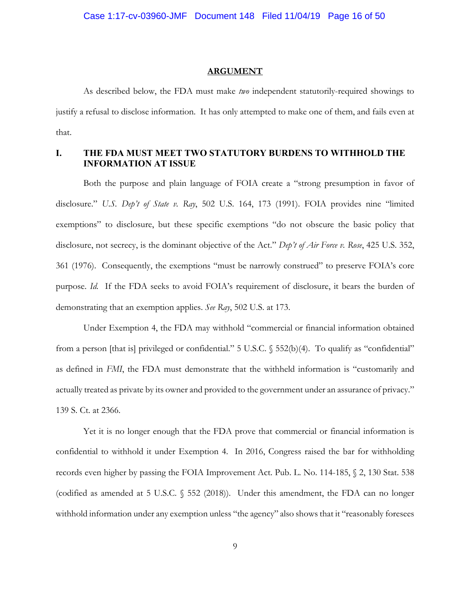#### **ARGUMENT**

As described below, the FDA must make *two* independent statutorily-required showings to justify a refusal to disclose information. It has only attempted to make one of them, and fails even at that.

## **I. THE FDA MUST MEET TWO STATUTORY BURDENS TO WITHHOLD THE INFORMATION AT ISSUE**

Both the purpose and plain language of FOIA create a "strong presumption in favor of disclosure." *U.S. Dep't of State v. Ray*, 502 U.S. 164, 173 (1991). FOIA provides nine "limited exemptions" to disclosure, but these specific exemptions "do not obscure the basic policy that disclosure, not secrecy, is the dominant objective of the Act." *Dep't of Air Force v. Rose*, 425 U.S. 352, 361 (1976). Consequently, the exemptions "must be narrowly construed" to preserve FOIA's core purpose. *Id.* If the FDA seeks to avoid FOIA's requirement of disclosure, it bears the burden of demonstrating that an exemption applies. *See Ray*, 502 U.S. at 173.

Under Exemption 4, the FDA may withhold "commercial or financial information obtained from a person [that is] privileged or confidential." 5 U.S.C. § 552(b)(4). To qualify as "confidential" as defined in *FMI*, the FDA must demonstrate that the withheld information is "customarily and actually treated as private by its owner and provided to the government under an assurance of privacy." 139 S. Ct. at 2366.

Yet it is no longer enough that the FDA prove that commercial or financial information is confidential to withhold it under Exemption 4. In 2016, Congress raised the bar for withholding records even higher by passing the FOIA Improvement Act. Pub. L. No. 114-185, § 2, 130 Stat. 538 (codified as amended at 5 U.S.C. § 552 (2018)). Under this amendment, the FDA can no longer withhold information under any exemption unless "the agency" also shows that it "reasonably foresees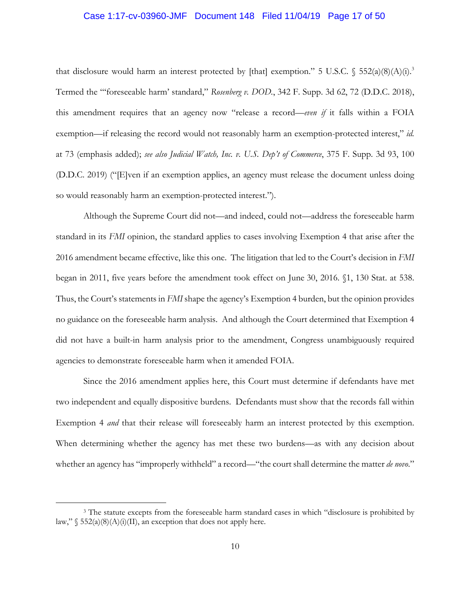#### Case 1:17-cv-03960-JMF Document 148 Filed 11/04/19 Page 17 of 50

that disclosure would harm an interest protected by [that] exemption." 5 U.S.C.  $\S$  552(a)(8)(A)(i).<sup>3</sup> Termed the "'foreseeable harm' standard," *Rosenberg v. DOD.*, 342 F. Supp. 3d 62, 72 (D.D.C. 2018), this amendment requires that an agency now "release a record—*even if* it falls within a FOIA exemption—if releasing the record would not reasonably harm an exemption-protected interest," *id.* at 73 (emphasis added); *see also Judicial Watch, Inc. v. U.S. Dep't of Commerce*, 375 F. Supp. 3d 93, 100 (D.D.C. 2019) ("[E]ven if an exemption applies, an agency must release the document unless doing so would reasonably harm an exemption-protected interest.").

Although the Supreme Court did not—and indeed, could not—address the foreseeable harm standard in its *FMI* opinion, the standard applies to cases involving Exemption 4 that arise after the 2016 amendment became effective, like this one. The litigation that led to the Court's decision in *FMI* began in 2011, five years before the amendment took effect on June 30, 2016. §1, 130 Stat. at 538. Thus, the Court's statements in *FMI* shape the agency's Exemption 4 burden, but the opinion provides no guidance on the foreseeable harm analysis. And although the Court determined that Exemption 4 did not have a built-in harm analysis prior to the amendment, Congress unambiguously required agencies to demonstrate foreseeable harm when it amended FOIA.

Since the 2016 amendment applies here, this Court must determine if defendants have met two independent and equally dispositive burdens. Defendants must show that the records fall within Exemption 4 *and* that their release will foreseeably harm an interest protected by this exemption. When determining whether the agency has met these two burdens—as with any decision about whether an agency has "improperly withheld" a record—"the court shall determine the matter *de novo*."

<sup>&</sup>lt;sup>3</sup> The statute excepts from the foreseeable harm standard cases in which "disclosure is prohibited by law,"  $\S$  552(a)(8)(A)(i)(II), an exception that does not apply here.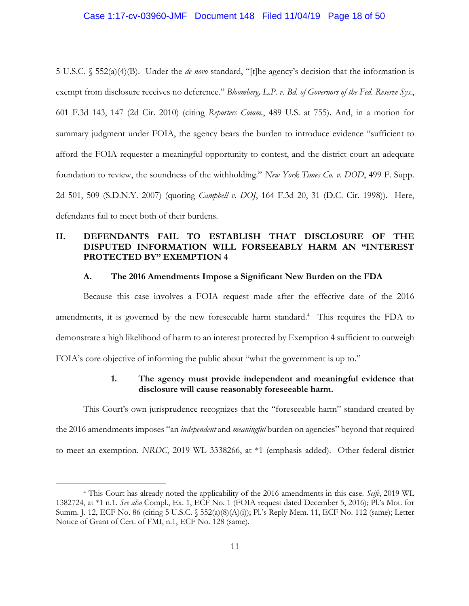### Case 1:17-cv-03960-JMF Document 148 Filed 11/04/19 Page 18 of 50

5 U.S.C. § 552(a)(4)(B). Under the *de novo* standard, "[t]he agency's decision that the information is exempt from disclosure receives no deference." *Bloomberg, L.P. v. Bd. of Governors of the Fed. Reserve Sys.*, 601 F.3d 143, 147 (2d Cir. 2010) (citing *Reporters Comm.*, 489 U.S. at 755). And, in a motion for summary judgment under FOIA, the agency bears the burden to introduce evidence "sufficient to afford the FOIA requester a meaningful opportunity to contest, and the district court an adequate foundation to review, the soundness of the withholding." *New York Times Co. v. DOD*, 499 F. Supp. 2d 501, 509 (S.D.N.Y. 2007) (quoting *Campbell v. DOJ*, 164 F.3d 20, 31 (D.C. Cir. 1998)). Here, defendants fail to meet both of their burdens.

## **II. DEFENDANTS FAIL TO ESTABLISH THAT DISCLOSURE OF THE DISPUTED INFORMATION WILL FORSEEABLY HARM AN "INTEREST PROTECTED BY" EXEMPTION 4**

### **A. The 2016 Amendments Impose a Significant New Burden on the FDA**

Because this case involves a FOIA request made after the effective date of the 2016 amendments, it is governed by the new foreseeable harm standard.4 This requires the FDA to demonstrate a high likelihood of harm to an interest protected by Exemption 4 sufficient to outweigh FOIA's core objective of informing the public about "what the government is up to."

## **1. The agency must provide independent and meaningful evidence that disclosure will cause reasonably foreseeable harm.**

This Court's own jurisprudence recognizes that the "foreseeable harm" standard created by

the 2016 amendments imposes "an *independent* and *meaningful* burden on agencies" beyond that required to meet an exemption. *NRDC*, 2019 WL 3338266, at \*1 (emphasis added). Other federal district

<sup>4</sup> This Court has already noted the applicability of the 2016 amendments in this case. *Seife*, 2019 WL 1382724, at \*1 n.1. *See also* Compl., Ex. 1, ECF No. 1 (FOIA request dated December 5, 2016); Pl.'s Mot. for Summ. J. 12, ECF No. 86 (citing 5 U.S.C. § 552(a)(8)(A)(i)); Pl.'s Reply Mem. 11, ECF No. 112 (same); Letter Notice of Grant of Cert. of FMI, n.1, ECF No. 128 (same).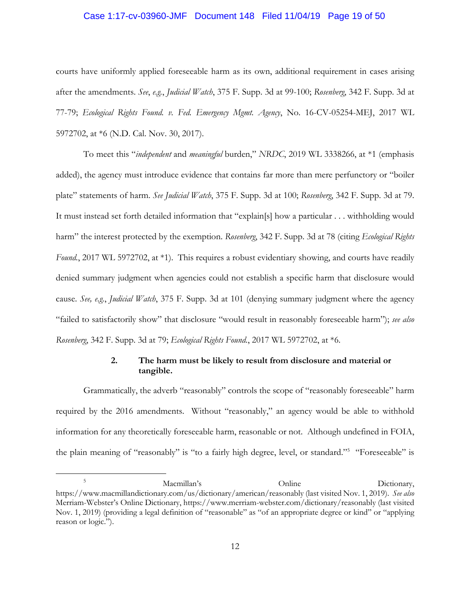### Case 1:17-cv-03960-JMF Document 148 Filed 11/04/19 Page 19 of 50

courts have uniformly applied foreseeable harm as its own, additional requirement in cases arising after the amendments. *See*, *e.g.*, *Judicial Watch*, 375 F. Supp. 3d at 99-100; *Rosenberg*, 342 F. Supp. 3d at 77-79; *Ecological Rights Found. v. Fed. Emergency Mgmt. Agency*, No. 16-CV-05254-MEJ, 2017 WL 5972702, at \*6 (N.D. Cal. Nov. 30, 2017).

To meet this "*independent* and *meaningful* burden," *NRDC*, 2019 WL 3338266, at \*1 (emphasis added), the agency must introduce evidence that contains far more than mere perfunctory or "boiler plate" statements of harm. *See Judicial Watch*, 375 F. Supp. 3d at 100; *Rosenberg*, 342 F. Supp. 3d at 79. It must instead set forth detailed information that "explain[s] how a particular . . . withholding would harm" the interest protected by the exemption. *Rosenberg*, 342 F. Supp. 3d at 78 (citing *Ecological Rights Found.*, 2017 WL 5972702, at \*1). This requires a robust evidentiary showing, and courts have readily denied summary judgment when agencies could not establish a specific harm that disclosure would cause. *See, e.g.*, *Judicial Watch*, 375 F. Supp. 3d at 101 (denying summary judgment where the agency "failed to satisfactorily show" that disclosure "would result in reasonably foreseeable harm"); *see also Rosenberg*, 342 F. Supp. 3d at 79; *Ecological Rights Found.*, 2017 WL 5972702, at \*6.

## **2. The harm must be likely to result from disclosure and material or tangible.**

Grammatically, the adverb "reasonably" controls the scope of "reasonably foreseeable" harm required by the 2016 amendments. Without "reasonably," an agency would be able to withhold information for any theoretically foreseeable harm, reasonable or not. Although undefined in FOIA, the plain meaning of "reasonably" is "to a fairly high degree, level, or standard."5 "Foreseeable" is

<sup>5</sup> Macmillan's Dictionary, https://www.macmillandictionary.com/us/dictionary/american/reasonably (last visited Nov. 1, 2019). *See also* Merriam-Webster's Online Dictionary, https://www.merriam-webster.com/dictionary/reasonably (last visited Nov. 1, 2019) (providing a legal definition of "reasonable" as "of an appropriate degree or kind" or "applying reason or logic.").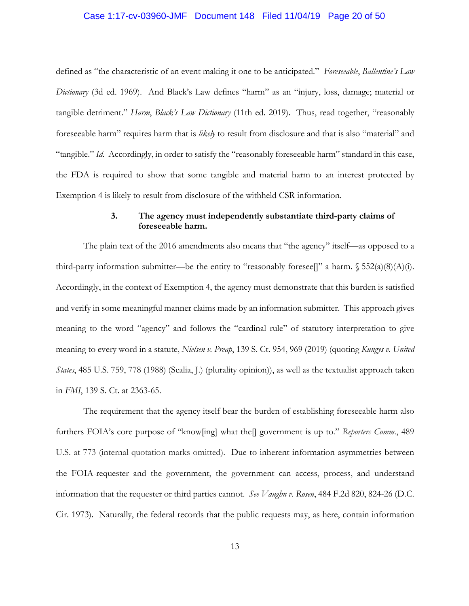#### Case 1:17-cv-03960-JMF Document 148 Filed 11/04/19 Page 20 of 50

defined as "the characteristic of an event making it one to be anticipated." *Foreseeable*, *Ballentine's Law Dictionary* (3d ed. 1969). And Black's Law defines "harm" as an "injury, loss, damage; material or tangible detriment." *Harm*, *Black's Law Dictionary* (11th ed. 2019). Thus, read together, "reasonably foreseeable harm" requires harm that is *likely* to result from disclosure and that is also "material" and "tangible." *Id.* Accordingly, in order to satisfy the "reasonably foreseeable harm" standard in this case, the FDA is required to show that some tangible and material harm to an interest protected by Exemption 4 is likely to result from disclosure of the withheld CSR information.

## **3. The agency must independently substantiate third-party claims of foreseeable harm.**

The plain text of the 2016 amendments also means that "the agency" itself—as opposed to a third-party information submitter—be the entity to "reasonably foresee[]" a harm.  $\S 552(a)(8)(A)(i)$ . Accordingly, in the context of Exemption 4, the agency must demonstrate that this burden is satisfied and verify in some meaningful manner claims made by an information submitter. This approach gives meaning to the word "agency" and follows the "cardinal rule" of statutory interpretation to give meaning to every word in a statute, *Nielsen v. Preap*, 139 S. Ct. 954, 969 (2019) (quoting *Kungys v. United States*, 485 U.S. 759, 778 (1988) (Scalia, J.) (plurality opinion)), as well as the textualist approach taken in *FMI*, 139 S. Ct. at 2363-65.

The requirement that the agency itself bear the burden of establishing foreseeable harm also furthers FOIA's core purpose of "know[ing] what the[] government is up to." *Reporters Comm*., 489 U.S. at 773 (internal quotation marks omitted). Due to inherent information asymmetries between the FOIA-requester and the government, the government can access, process, and understand information that the requester or third parties cannot. *See Vaughn v. Rosen*, 484 F.2d 820, 824-26 (D.C. Cir. 1973). Naturally, the federal records that the public requests may, as here, contain information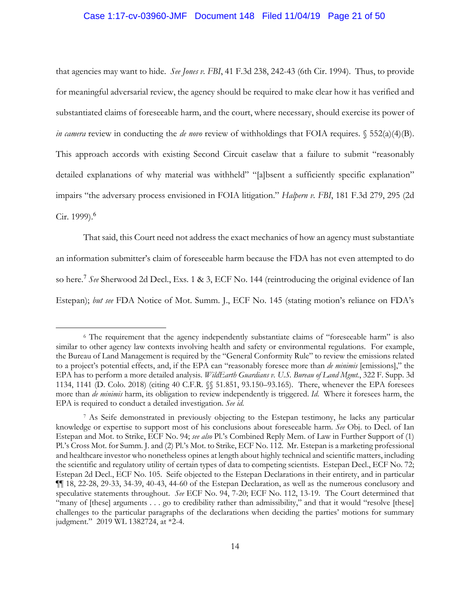#### Case 1:17-cv-03960-JMF Document 148 Filed 11/04/19 Page 21 of 50

that agencies may want to hide. *See Jones v. FBI*, 41 F.3d 238, 242-43 (6th Cir. 1994). Thus, to provide for meaningful adversarial review, the agency should be required to make clear how it has verified and substantiated claims of foreseeable harm, and the court, where necessary, should exercise its power of *in camera* review in conducting the *de novo* review of withholdings that FOIA requires.  $\S 552(a)(4)(B)$ . This approach accords with existing Second Circuit caselaw that a failure to submit "reasonably detailed explanations of why material was withheld" "[a]bsent a sufficiently specific explanation" impairs "the adversary process envisioned in FOIA litigation." *Halpern v. FBI*, 181 F.3d 279, 295 (2d Cir. 1999).<sup>6</sup>

That said, this Court need not address the exact mechanics of how an agency must substantiate an information submitter's claim of foreseeable harm because the FDA has not even attempted to do so here.<sup>7</sup> *See* Sherwood 2d Decl., Exs. 1 & 3, ECF No. 144 (reintroducing the original evidence of Ian Estepan); *but see* FDA Notice of Mot. Summ. J., ECF No. 145 (stating motion's reliance on FDA's

<sup>6</sup> The requirement that the agency independently substantiate claims of "foreseeable harm" is also similar to other agency law contexts involving health and safety or environmental regulations. For example, the Bureau of Land Management is required by the "General Conformity Rule" to review the emissions related to a project's potential effects, and, if the EPA can "reasonably foresee more than *de minimis* [emissions]," the EPA has to perform a more detailed analysis. *WildEarth Guardians v. U.S. Bureau of Land Mgmt.*, 322 F. Supp. 3d 1134, 1141 (D. Colo. 2018) (citing 40 C.F.R. §§ 51.851, 93.150–93.165). There, whenever the EPA foresees more than *de minimis* harm, its obligation to review independently is triggered. *Id*. Where it foresees harm, the EPA is required to conduct a detailed investigation. *See id*.

<sup>7</sup> As Seife demonstrated in previously objecting to the Estepan testimony, he lacks any particular knowledge or expertise to support most of his conclusions about foreseeable harm. *See* Obj. to Decl. of Ian Estepan and Mot. to Strike, ECF No. 94; *see also* Pl.'s Combined Reply Mem. of Law in Further Support of (1) Pl.'s Cross Mot. for Summ. J. and (2) Pl.'s Mot. to Strike, ECF No. 112. Mr. Estepan is a marketing professional and healthcare investor who nonetheless opines at length about highly technical and scientific matters, including the scientific and regulatory utility of certain types of data to competing scientists. Estepan Decl., ECF No. 72; Estepan 2d Decl., ECF No. 105. Seife objected to the Estepan Declarations in their entirety, and in particular ¶¶ 18, 22-28, 29-33, 34-39, 40-43, 44-60 of the Estepan Declaration, as well as the numerous conclusory and speculative statements throughout. *See* ECF No. 94, 7-20; ECF No. 112, 13-19. The Court determined that "many of [these] arguments . . . go to credibility rather than admissibility," and that it would "resolve [these] challenges to the particular paragraphs of the declarations when deciding the parties' motions for summary judgment." 2019 WL 1382724, at \*2-4.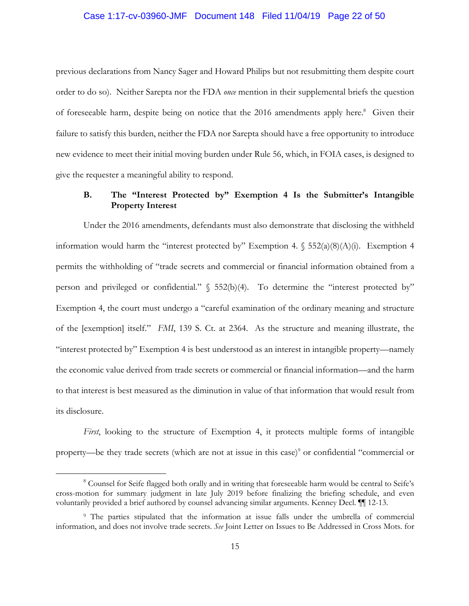#### Case 1:17-cv-03960-JMF Document 148 Filed 11/04/19 Page 22 of 50

previous declarations from Nancy Sager and Howard Philips but not resubmitting them despite court order to do so). Neither Sarepta nor the FDA *once* mention in their supplemental briefs the question of foreseeable harm, despite being on notice that the 2016 amendments apply here.<sup>8</sup> Given their failure to satisfy this burden, neither the FDA nor Sarepta should have a free opportunity to introduce new evidence to meet their initial moving burden under Rule 56, which, in FOIA cases, is designed to give the requester a meaningful ability to respond.

## **B. The "Interest Protected by" Exemption 4 Is the Submitter's Intangible Property Interest**

Under the 2016 amendments, defendants must also demonstrate that disclosing the withheld information would harm the "interest protected by" Exemption 4.  $\S$  552(a)(8)(A)(i). Exemption 4 permits the withholding of "trade secrets and commercial or financial information obtained from a person and privileged or confidential." § 552(b)(4). To determine the "interest protected by" Exemption 4, the court must undergo a "careful examination of the ordinary meaning and structure of the [exemption] itself." *FMI*, 139 S. Ct. at 2364. As the structure and meaning illustrate, the "interest protected by" Exemption 4 is best understood as an interest in intangible property—namely the economic value derived from trade secrets or commercial or financial information—and the harm to that interest is best measured as the diminution in value of that information that would result from its disclosure.

*First*, looking to the structure of Exemption 4, it protects multiple forms of intangible property—be they trade secrets (which are not at issue in this case)<sup>9</sup> or confidential "commercial or

<sup>8</sup> Counsel for Seife flagged both orally and in writing that foreseeable harm would be central to Seife's cross-motion for summary judgment in late July 2019 before finalizing the briefing schedule, and even voluntarily provided a brief authored by counsel advancing similar arguments. Kenney Decl. ¶¶ 12-13.

<sup>9</sup> The parties stipulated that the information at issue falls under the umbrella of commercial information, and does not involve trade secrets. *See* Joint Letter on Issues to Be Addressed in Cross Mots. for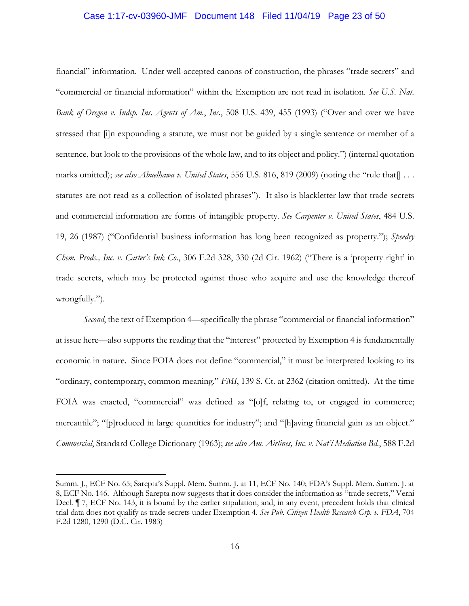#### Case 1:17-cv-03960-JMF Document 148 Filed 11/04/19 Page 23 of 50

financial" information. Under well-accepted canons of construction, the phrases "trade secrets" and "commercial or financial information" within the Exemption are not read in isolation. *See U.S. Nat. Bank of Oregon v. Indep. Ins. Agents of Am.*, *Inc.*, 508 U.S. 439, 455 (1993) ("Over and over we have stressed that [i]n expounding a statute, we must not be guided by a single sentence or member of a sentence, but look to the provisions of the whole law, and to its object and policy.") (internal quotation marks omitted); *see also Abuelhawa v. United States*, 556 U.S. 816, 819 (2009) (noting the "rule that[] . . . statutes are not read as a collection of isolated phrases"). It also is blackletter law that trade secrets and commercial information are forms of intangible property. *See Carpenter v. United States*, 484 U.S. 19, 26 (1987) ("Confidential business information has long been recognized as property."); *Speedry Chem. Prods., Inc. v. Carter's Ink Co.*, 306 F.2d 328, 330 (2d Cir. 1962) ("There is a 'property right' in trade secrets, which may be protected against those who acquire and use the knowledge thereof wrongfully.").

*Second*, the text of Exemption 4—specifically the phrase "commercial or financial information" at issue here—also supports the reading that the "interest" protected by Exemption 4 is fundamentally economic in nature. Since FOIA does not define "commercial," it must be interpreted looking to its "ordinary, contemporary, common meaning." *FMI*, 139 S. Ct. at 2362 (citation omitted). At the time FOIA was enacted, "commercial" was defined as "[o]f, relating to, or engaged in commerce; mercantile"; "[p]roduced in large quantities for industry"; and "[h]aving financial gain as an object." *Commercial*, Standard College Dictionary (1963); *see also Am. Airlines, Inc. v. Nat'l Mediation Bd.*, 588 F.2d

Summ. J., ECF No. 65; Sarepta's Suppl. Mem. Summ. J. at 11, ECF No. 140; FDA's Suppl. Mem. Summ. J. at 8, ECF No. 146. Although Sarepta now suggests that it does consider the information as "trade secrets," Verni Decl. ¶ 7, ECF No. 143, it is bound by the earlier stipulation, and, in any event, precedent holds that clinical trial data does not qualify as trade secrets under Exemption 4. *See Pub. Citizen Health Research Grp. v. FDA*, 704 F.2d 1280, 1290 (D.C. Cir. 1983)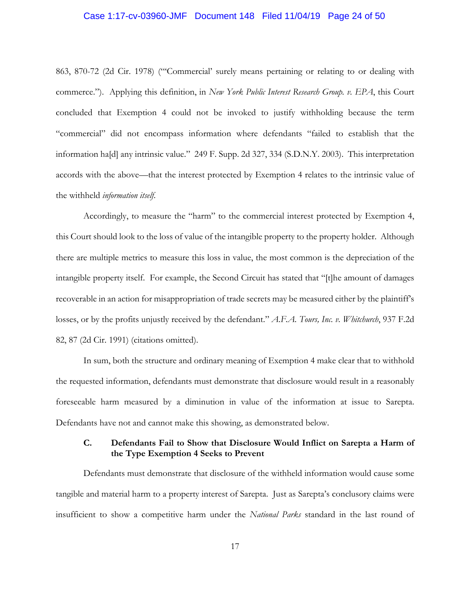#### Case 1:17-cv-03960-JMF Document 148 Filed 11/04/19 Page 24 of 50

863, 870-72 (2d Cir. 1978) ("'Commercial' surely means pertaining or relating to or dealing with commerce."). Applying this definition, in *New York Public Interest Research Group. v. EPA*, this Court concluded that Exemption 4 could not be invoked to justify withholding because the term "commercial" did not encompass information where defendants "failed to establish that the information ha[d] any intrinsic value." 249 F. Supp. 2d 327, 334 (S.D.N.Y. 2003). This interpretation accords with the above—that the interest protected by Exemption 4 relates to the intrinsic value of the withheld *information itself*.

Accordingly, to measure the "harm" to the commercial interest protected by Exemption 4, this Court should look to the loss of value of the intangible property to the property holder. Although there are multiple metrics to measure this loss in value, the most common is the depreciation of the intangible property itself. For example, the Second Circuit has stated that "[t]he amount of damages recoverable in an action for misappropriation of trade secrets may be measured either by the plaintiff's losses, or by the profits unjustly received by the defendant." *A.F.A. Tours, Inc. v. Whitchurch*, 937 F.2d 82, 87 (2d Cir. 1991) (citations omitted).

In sum, both the structure and ordinary meaning of Exemption 4 make clear that to withhold the requested information, defendants must demonstrate that disclosure would result in a reasonably foreseeable harm measured by a diminution in value of the information at issue to Sarepta. Defendants have not and cannot make this showing, as demonstrated below.

## **C. Defendants Fail to Show that Disclosure Would Inflict on Sarepta a Harm of the Type Exemption 4 Seeks to Prevent**

Defendants must demonstrate that disclosure of the withheld information would cause some tangible and material harm to a property interest of Sarepta. Just as Sarepta's conclusory claims were insufficient to show a competitive harm under the *National Parks* standard in the last round of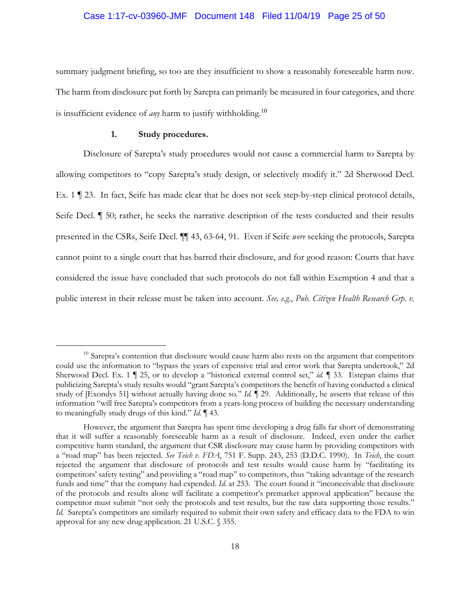#### Case 1:17-cv-03960-JMF Document 148 Filed 11/04/19 Page 25 of 50

summary judgment briefing, so too are they insufficient to show a reasonably foreseeable harm now. The harm from disclosure put forth by Sarepta can primarily be measured in four categories, and there is insufficient evidence of *any* harm to justify withholding.<sup>10</sup>

## **1. Study procedures.**

Disclosure of Sarepta's study procedures would not cause a commercial harm to Sarepta by allowing competitors to "copy Sarepta's study design, or selectively modify it." 2d Sherwood Decl. Ex. 1 ¶ 23. In fact, Seife has made clear that he does not seek step-by-step clinical protocol details, Seife Decl. ¶ 50; rather, he seeks the narrative description of the tests conducted and their results presented in the CSRs, Seife Decl. ¶¶ 43, 63-64, 91. Even if Seife *were* seeking the protocols, Sarepta cannot point to a single court that has barred their disclosure, and for good reason: Courts that have considered the issue have concluded that such protocols do not fall within Exemption 4 and that a public interest in their release must be taken into account. *See, e.g.*, *Pub. Citizen Health Research Grp. v.*

<sup>&</sup>lt;sup>10</sup> Sarepta's contention that disclosure would cause harm also rests on the argument that competitors could use the information to "bypass the years of expensive trial and error work that Sarepta undertook," 2d Sherwood Decl. Ex. 1 | 25, or to develop a "historical external control set," *id.* | 33. Estepan claims that publicizing Sarepta's study results would "grant Sarepta's competitors the benefit of having conducted a clinical study of [Exondys 51] without actually having done so." *Id.* ¶ 29. Additionally, he asserts that release of this information "will free Sarepta's competitors from a years-long process of building the necessary understanding to meaningfully study drugs of this kind." *Id.* ¶ 43.

However, the argument that Sarepta has spent time developing a drug falls far short of demonstrating that it will suffer a reasonably foreseeable harm as a result of disclosure. Indeed, even under the earlier competitive harm standard, the argument that CSR disclosure may cause harm by providing competitors with a "road map" has been rejected. *See Teich v. FDA*, 751 F. Supp. 243, 253 (D.D.C. 1990). In *Teich*, the court rejected the argument that disclosure of protocols and test results would cause harm by "facilitating its competitors' safety testing" and providing a "road map" to competitors, thus "taking advantage of the research funds and time" that the company had expended. *Id.* at 253. The court found it "inconceivable that disclosure of the protocols and results alone will facilitate a competitor's premarket approval application" because the competitor must submit "not only the protocols and test results, but the raw data supporting those results." *Id.* Sarepta's competitors are similarly required to submit their own safety and efficacy data to the FDA to win approval for any new drug application. 21 U.S.C. § 355.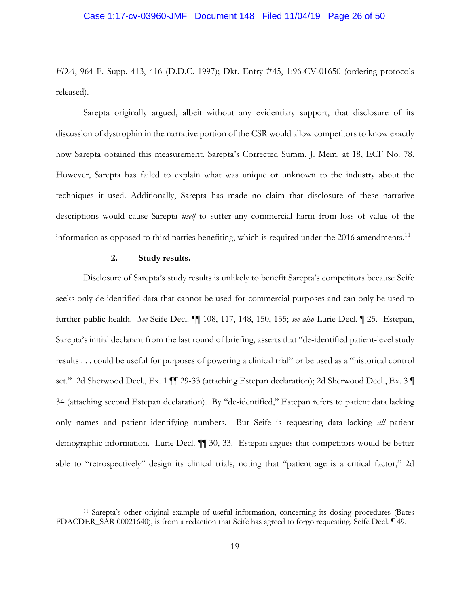#### Case 1:17-cv-03960-JMF Document 148 Filed 11/04/19 Page 26 of 50

*FDA*, 964 F. Supp. 413, 416 (D.D.C. 1997); Dkt. Entry #45, 1:96-CV-01650 (ordering protocols released).

Sarepta originally argued, albeit without any evidentiary support, that disclosure of its discussion of dystrophin in the narrative portion of the CSR would allow competitors to know exactly how Sarepta obtained this measurement. Sarepta's Corrected Summ. J. Mem. at 18, ECF No. 78. However, Sarepta has failed to explain what was unique or unknown to the industry about the techniques it used. Additionally, Sarepta has made no claim that disclosure of these narrative descriptions would cause Sarepta *itself* to suffer any commercial harm from loss of value of the information as opposed to third parties benefiting, which is required under the 2016 amendments.<sup>11</sup>

#### **2. Study results.**

Disclosure of Sarepta's study results is unlikely to benefit Sarepta's competitors because Seife seeks only de-identified data that cannot be used for commercial purposes and can only be used to further public health. *See* Seife Decl. ¶¶ 108, 117, 148, 150, 155; *see also* Lurie Decl. ¶ 25. Estepan, Sarepta's initial declarant from the last round of briefing, asserts that "de-identified patient-level study results . . . could be useful for purposes of powering a clinical trial" or be used as a "historical control set." 2d Sherwood Decl., Ex. 1  $\P$  29-33 (attaching Estepan declaration); 2d Sherwood Decl., Ex. 3 34 (attaching second Estepan declaration). By "de-identified," Estepan refers to patient data lacking only names and patient identifying numbers. But Seife is requesting data lacking *all* patient demographic information. Lurie Decl. ¶¶ 30, 33. Estepan argues that competitors would be better able to "retrospectively" design its clinical trials, noting that "patient age is a critical factor," 2d

<sup>11</sup> Sarepta's other original example of useful information, concerning its dosing procedures (Bates FDACDER\_SAR 00021640), is from a redaction that Seife has agreed to forgo requesting. Seife Decl. ¶ 49.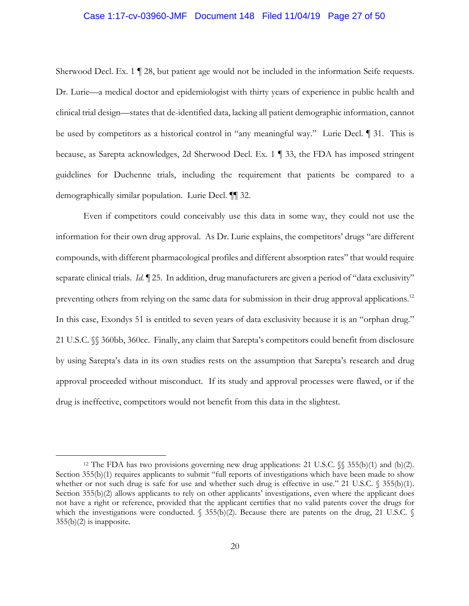#### Case 1:17-cv-03960-JMF Document 148 Filed 11/04/19 Page 27 of 50

Sherwood Decl. Ex. 1 ¶ 28, but patient age would not be included in the information Seife requests. Dr. Lurie—a medical doctor and epidemiologist with thirty years of experience in public health and clinical trial design—states that de-identified data, lacking all patient demographic information, cannot be used by competitors as a historical control in "any meaningful way." Lurie Decl. ¶ 31. This is because, as Sarepta acknowledges, 2d Sherwood Decl. Ex. 1 ¶ 33, the FDA has imposed stringent guidelines for Duchenne trials, including the requirement that patients be compared to a demographically similar population. Lurie Decl. ¶¶ 32.

Even if competitors could conceivably use this data in some way, they could not use the information for their own drug approval. As Dr. Lurie explains, the competitors' drugs "are different compounds, with different pharmacological profiles and different absorption rates" that would require separate clinical trials. *Id.* 125. In addition, drug manufacturers are given a period of "data exclusivity" preventing others from relying on the same data for submission in their drug approval applications.<sup>12</sup> In this case, Exondys 51 is entitled to seven years of data exclusivity because it is an "orphan drug." 21 U.S.C. §§ 360bb, 360cc. Finally, any claim that Sarepta's competitors could benefit from disclosure by using Sarepta's data in its own studies rests on the assumption that Sarepta's research and drug approval proceeded without misconduct. If its study and approval processes were flawed, or if the drug is ineffective, competitors would not benefit from this data in the slightest.

<sup>12</sup> The FDA has two provisions governing new drug applications: 21 U.S.C. §§ 355(b)(1) and (b)(2). Section 355(b)(1) requires applicants to submit "full reports of investigations which have been made to show whether or not such drug is safe for use and whether such drug is effective in use." 21 U.S.C. § 355(b)(1). Section 355(b)(2) allows applicants to rely on other applicants' investigations, even where the applicant does not have a right or reference, provided that the applicant certifies that no valid patents cover the drugs for which the investigations were conducted.  $\S$  355(b)(2). Because there are patents on the drug, 21 U.S.C.  $\S$ 355(b)(2) is inapposite.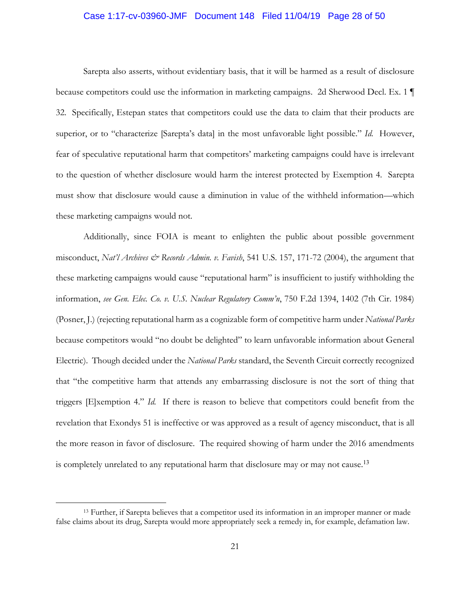#### Case 1:17-cv-03960-JMF Document 148 Filed 11/04/19 Page 28 of 50

Sarepta also asserts, without evidentiary basis, that it will be harmed as a result of disclosure because competitors could use the information in marketing campaigns. 2d Sherwood Decl. Ex. 1 ¶ 32. Specifically, Estepan states that competitors could use the data to claim that their products are superior, or to "characterize [Sarepta's data] in the most unfavorable light possible." *Id.* However, fear of speculative reputational harm that competitors' marketing campaigns could have is irrelevant to the question of whether disclosure would harm the interest protected by Exemption 4. Sarepta must show that disclosure would cause a diminution in value of the withheld information—which these marketing campaigns would not.

Additionally, since FOIA is meant to enlighten the public about possible government misconduct, *Nat'l Archives & Records Admin. v. Favish*, 541 U.S. 157, 171-72 (2004), the argument that these marketing campaigns would cause "reputational harm" is insufficient to justify withholding the information, *see Gen. Elec. Co. v. U.S. Nuclear Regulatory Comm'n*, 750 F.2d 1394, 1402 (7th Cir. 1984) (Posner, J.) (rejecting reputational harm as a cognizable form of competitive harm under *National Parks*  because competitors would "no doubt be delighted" to learn unfavorable information about General Electric). Though decided under the *National Parks* standard, the Seventh Circuit correctly recognized that "the competitive harm that attends any embarrassing disclosure is not the sort of thing that triggers [E]xemption 4." *Id.* If there is reason to believe that competitors could benefit from the revelation that Exondys 51 is ineffective or was approved as a result of agency misconduct, that is all the more reason in favor of disclosure. The required showing of harm under the 2016 amendments is completely unrelated to any reputational harm that disclosure may or may not cause.<sup>13</sup>

<sup>13</sup> Further, if Sarepta believes that a competitor used its information in an improper manner or made false claims about its drug, Sarepta would more appropriately seek a remedy in, for example, defamation law.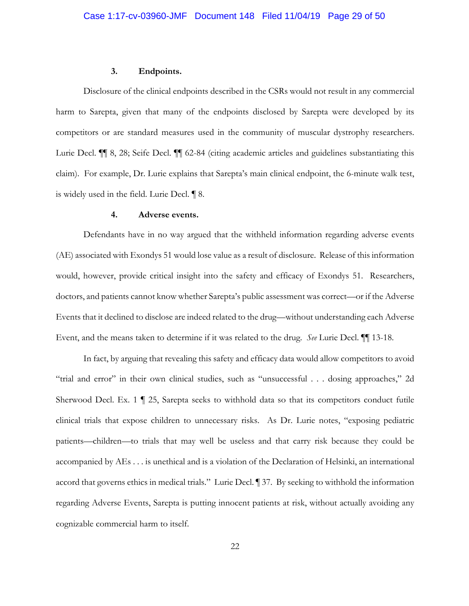#### **3. Endpoints.**

Disclosure of the clinical endpoints described in the CSRs would not result in any commercial harm to Sarepta, given that many of the endpoints disclosed by Sarepta were developed by its competitors or are standard measures used in the community of muscular dystrophy researchers. Lurie Decl. ¶¶ 8, 28; Seife Decl. ¶¶ 62-84 (citing academic articles and guidelines substantiating this claim). For example, Dr. Lurie explains that Sarepta's main clinical endpoint, the 6-minute walk test, is widely used in the field. Lurie Decl. ¶ 8.

### **4. Adverse events.**

Defendants have in no way argued that the withheld information regarding adverse events (AE) associated with Exondys 51 would lose value as a result of disclosure. Release of this information would, however, provide critical insight into the safety and efficacy of Exondys 51. Researchers, doctors, and patients cannot know whether Sarepta's public assessment was correct—or if the Adverse Events that it declined to disclose are indeed related to the drug—without understanding each Adverse Event, and the means taken to determine if it was related to the drug. *See* Lurie Decl. ¶¶ 13-18.

In fact, by arguing that revealing this safety and efficacy data would allow competitors to avoid "trial and error" in their own clinical studies, such as "unsuccessful . . . dosing approaches," 2d Sherwood Decl. Ex. 1 ¶ 25, Sarepta seeks to withhold data so that its competitors conduct futile clinical trials that expose children to unnecessary risks. As Dr. Lurie notes, "exposing pediatric patients—children—to trials that may well be useless and that carry risk because they could be accompanied by AEs . . . is unethical and is a violation of the Declaration of Helsinki, an international accord that governs ethics in medical trials." Lurie Decl. ¶ 37. By seeking to withhold the information regarding Adverse Events, Sarepta is putting innocent patients at risk, without actually avoiding any cognizable commercial harm to itself.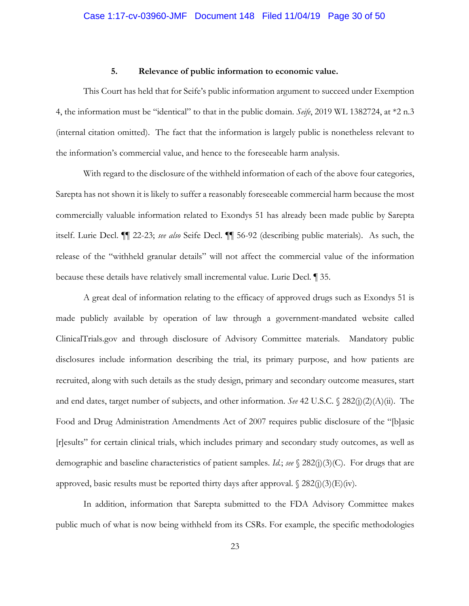### **5. Relevance of public information to economic value.**

This Court has held that for Seife's public information argument to succeed under Exemption 4, the information must be "identical" to that in the public domain. *Seife*, 2019 WL 1382724, at \*2 n.3 (internal citation omitted). The fact that the information is largely public is nonetheless relevant to the information's commercial value, and hence to the foreseeable harm analysis.

With regard to the disclosure of the withheld information of each of the above four categories, Sarepta has not shown it is likely to suffer a reasonably foreseeable commercial harm because the most commercially valuable information related to Exondys 51 has already been made public by Sarepta itself. Lurie Decl. ¶¶ 22-23; *see also* Seife Decl. ¶¶ 56-92 (describing public materials). As such, the release of the "withheld granular details" will not affect the commercial value of the information because these details have relatively small incremental value. Lurie Decl. ¶ 35.

A great deal of information relating to the efficacy of approved drugs such as Exondys 51 is made publicly available by operation of law through a government-mandated website called ClinicalTrials.gov and through disclosure of Advisory Committee materials. Mandatory public disclosures include information describing the trial, its primary purpose, and how patients are recruited, along with such details as the study design, primary and secondary outcome measures, start and end dates, target number of subjects, and other information. *See* 42 U.S.C. § 282(j)(2)(A)(ii). The Food and Drug Administration Amendments Act of 2007 requires public disclosure of the "[b]asic [r]esults" for certain clinical trials, which includes primary and secondary study outcomes, as well as demographic and baseline characteristics of patient samples. *Id.*; *see* § 282(j)(3)(C). For drugs that are approved, basic results must be reported thirty days after approval.  $\$ 282(j)(3)(E)(iv)$ .

In addition, information that Sarepta submitted to the FDA Advisory Committee makes public much of what is now being withheld from its CSRs. For example, the specific methodologies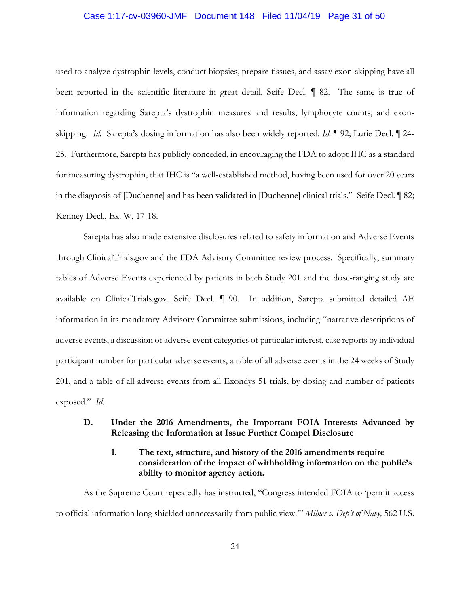#### Case 1:17-cv-03960-JMF Document 148 Filed 11/04/19 Page 31 of 50

used to analyze dystrophin levels, conduct biopsies, prepare tissues, and assay exon-skipping have all been reported in the scientific literature in great detail. Seife Decl. ¶ 82. The same is true of information regarding Sarepta's dystrophin measures and results, lymphocyte counts, and exonskipping. *Id.* Sarepta's dosing information has also been widely reported. *Id.* ¶ 92; Lurie Decl. ¶ 24- 25. Furthermore, Sarepta has publicly conceded, in encouraging the FDA to adopt IHC as a standard for measuring dystrophin, that IHC is "a well-established method, having been used for over 20 years in the diagnosis of [Duchenne] and has been validated in [Duchenne] clinical trials." Seife Decl. ¶ 82; Kenney Decl., Ex. W, 17-18.

Sarepta has also made extensive disclosures related to safety information and Adverse Events through ClinicalTrials.gov and the FDA Advisory Committee review process. Specifically, summary tables of Adverse Events experienced by patients in both Study 201 and the dose-ranging study are available on ClinicalTrials.gov. Seife Decl. ¶ 90. In addition, Sarepta submitted detailed AE information in its mandatory Advisory Committee submissions, including "narrative descriptions of adverse events, a discussion of adverse event categories of particular interest, case reports by individual participant number for particular adverse events, a table of all adverse events in the 24 weeks of Study 201, and a table of all adverse events from all Exondys 51 trials, by dosing and number of patients exposed." *Id.* 

## **D. Under the 2016 Amendments, the Important FOIA Interests Advanced by Releasing the Information at Issue Further Compel Disclosure**

## **1. The text, structure, and history of the 2016 amendments require consideration of the impact of withholding information on the public's ability to monitor agency action.**

As the Supreme Court repeatedly has instructed, "Congress intended FOIA to 'permit access to official information long shielded unnecessarily from public view.'" *Milner v. Dep't of Navy,* 562 U.S.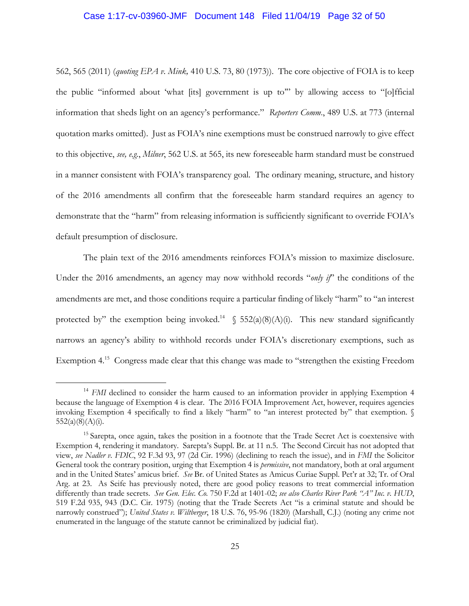#### Case 1:17-cv-03960-JMF Document 148 Filed 11/04/19 Page 32 of 50

562, 565 (2011) (*quoting EPA v. Mink,* 410 U.S. 73, 80 (1973)). The core objective of FOIA is to keep the public "informed about 'what [its] government is up to'" by allowing access to "[o]fficial information that sheds light on an agency's performance." *Reporters Comm*., 489 U.S. at 773 (internal quotation marks omitted). Just as FOIA's nine exemptions must be construed narrowly to give effect to this objective, *see, e.g.*, *Milner*, 562 U.S. at 565, its new foreseeable harm standard must be construed in a manner consistent with FOIA's transparency goal. The ordinary meaning, structure, and history of the 2016 amendments all confirm that the foreseeable harm standard requires an agency to demonstrate that the "harm" from releasing information is sufficiently significant to override FOIA's default presumption of disclosure.

The plain text of the 2016 amendments reinforces FOIA's mission to maximize disclosure. Under the 2016 amendments, an agency may now withhold records "*only if*" the conditions of the amendments are met, and those conditions require a particular finding of likely "harm" to "an interest protected by" the exemption being invoked.<sup>14</sup>  $\S$  552(a)(8)(A)(i). This new standard significantly narrows an agency's ability to withhold records under FOIA's discretionary exemptions, such as Exemption 4.<sup>15</sup> Congress made clear that this change was made to "strengthen the existing Freedom

<sup>&</sup>lt;sup>14</sup> *FMI* declined to consider the harm caused to an information provider in applying Exemption 4 because the language of Exemption 4 is clear. The 2016 FOIA Improvement Act, however, requires agencies invoking Exemption 4 specifically to find a likely "harm" to "an interest protected by" that exemption. §  $552(a)(8)(A)(i)$ .

<sup>&</sup>lt;sup>15</sup> Sarepta, once again, takes the position in a footnote that the Trade Secret Act is coextensive with Exemption 4, rendering it mandatory. Sarepta's Suppl. Br. at 11 n.5. The Second Circuit has not adopted that view, *see Nadler v. FDIC*, 92 F.3d 93, 97 (2d Cir. 1996) (declining to reach the issue), and in *FMI* the Solicitor General took the contrary position, urging that Exemption 4 is *permissive*, not mandatory, both at oral argument and in the United States' amicus brief. *See* Br. of United States as Amicus Curiae Suppl. Pet'r at 32; Tr. of Oral Arg. at 23. As Seife has previously noted, there are good policy reasons to treat commercial information differently than trade secrets. *See Gen. Elec. Co.* 750 F.2d at 1401-02; *see also Charles River Park "A" Inc. v. HUD*, 519 F.2d 935, 943 (D.C. Cir. 1975) (noting that the Trade Secrets Act "is a criminal statute and should be narrowly construed"); *United States v. Wiltberger*, 18 U.S. 76, 95-96 (1820) (Marshall, C.J.) (noting any crime not enumerated in the language of the statute cannot be criminalized by judicial fiat).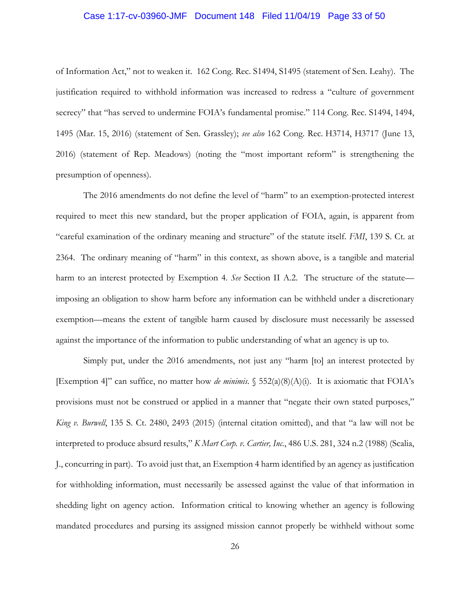#### Case 1:17-cv-03960-JMF Document 148 Filed 11/04/19 Page 33 of 50

of Information Act," not to weaken it. 162 Cong. Rec. S1494, S1495 (statement of Sen. Leahy). The justification required to withhold information was increased to redress a "culture of government secrecy" that "has served to undermine FOIA's fundamental promise." 114 Cong. Rec. S1494, 1494, 1495 (Mar. 15, 2016) (statement of Sen. Grassley); *see also* 162 Cong. Rec. H3714, H3717 (June 13, 2016) (statement of Rep. Meadows) (noting the "most important reform" is strengthening the presumption of openness).

The 2016 amendments do not define the level of "harm" to an exemption-protected interest required to meet this new standard, but the proper application of FOIA, again, is apparent from "careful examination of the ordinary meaning and structure" of the statute itself. *FMI*, 139 S. Ct. at 2364. The ordinary meaning of "harm" in this context, as shown above, is a tangible and material harm to an interest protected by Exemption 4. *See* Section II A.2. The structure of the statute imposing an obligation to show harm before any information can be withheld under a discretionary exemption—means the extent of tangible harm caused by disclosure must necessarily be assessed against the importance of the information to public understanding of what an agency is up to.

Simply put, under the 2016 amendments, not just any "harm [to] an interest protected by [Exemption 4]" can suffice, no matter how *de minimis*. § 552(a)(8)(A)(i). It is axiomatic that FOIA's provisions must not be construed or applied in a manner that "negate their own stated purposes," *King v. Burwell*, 135 S. Ct. 2480, 2493 (2015) (internal citation omitted), and that "a law will not be interpreted to produce absurd results," *K Mart Corp. v. Cartier, Inc.*, 486 U.S. 281, 324 n.2 (1988) (Scalia, J., concurring in part). To avoid just that, an Exemption 4 harm identified by an agency as justification for withholding information, must necessarily be assessed against the value of that information in shedding light on agency action. Information critical to knowing whether an agency is following mandated procedures and pursing its assigned mission cannot properly be withheld without some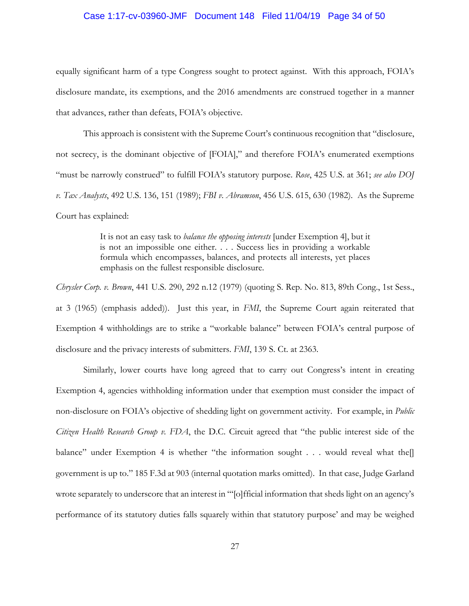#### Case 1:17-cv-03960-JMF Document 148 Filed 11/04/19 Page 34 of 50

equally significant harm of a type Congress sought to protect against. With this approach, FOIA's disclosure mandate, its exemptions, and the 2016 amendments are construed together in a manner that advances, rather than defeats, FOIA's objective.

This approach is consistent with the Supreme Court's continuous recognition that "disclosure, not secrecy, is the dominant objective of [FOIA]," and therefore FOIA's enumerated exemptions "must be narrowly construed" to fulfill FOIA's statutory purpose. *Rose*, 425 U.S. at 361; *see also DOJ v. Tax Analysts*, 492 U.S. 136, 151 (1989); *FBI v. Abramson*, 456 U.S. 615, 630 (1982).As the Supreme Court has explained:

> It is not an easy task to *balance the opposing interests* [under Exemption 4], but it is not an impossible one either. . . . Success lies in providing a workable formula which encompasses, balances, and protects all interests, yet places emphasis on the fullest responsible disclosure.

*Chrysler Corp. v. Brown*, 441 U.S. 290, 292 n.12 (1979) (quoting S. Rep. No. 813, 89th Cong., 1st Sess., at 3 (1965) (emphasis added)). Just this year, in *FMI*, the Supreme Court again reiterated that Exemption 4 withholdings are to strike a "workable balance" between FOIA's central purpose of disclosure and the privacy interests of submitters. *FMI*, 139 S. Ct. at 2363.

Similarly, lower courts have long agreed that to carry out Congress's intent in creating Exemption 4, agencies withholding information under that exemption must consider the impact of non-disclosure on FOIA's objective of shedding light on government activity. For example, in *Public Citizen Health Research Group v. FDA*, the D.C. Circuit agreed that "the public interest side of the balance" under Exemption 4 is whether "the information sought . . . would reveal what the government is up to." 185 F.3d at 903 (internal quotation marks omitted). In that case, Judge Garland wrote separately to underscore that an interest in "'[o]fficial information that sheds light on an agency's performance of its statutory duties falls squarely within that statutory purpose' and may be weighed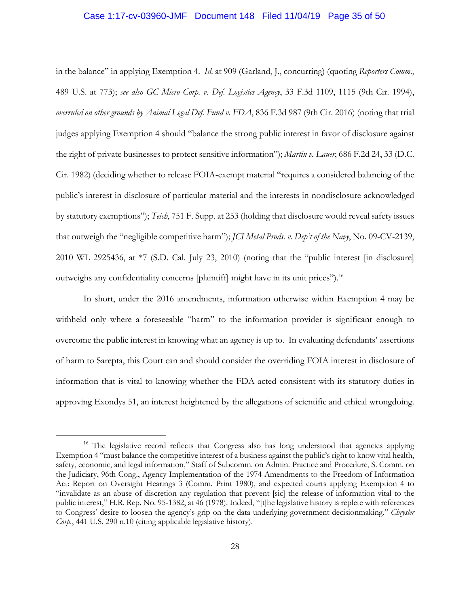#### Case 1:17-cv-03960-JMF Document 148 Filed 11/04/19 Page 35 of 50

in the balance" in applying Exemption 4. *Id*. at 909 (Garland, J., concurring) (quoting *Reporters Comm*., 489 U.S. at 773); *see also GC Micro Corp. v. Def. Logistics Agency*, 33 F.3d 1109, 1115 (9th Cir. 1994), *overruled on other grounds by Animal Legal Def. Fund v. FDA*, 836 F.3d 987 (9th Cir. 2016) (noting that trial judges applying Exemption 4 should "balance the strong public interest in favor of disclosure against the right of private businesses to protect sensitive information"); *Martin v. Lauer*, 686 F.2d 24, 33 (D.C. Cir. 1982) (deciding whether to release FOIA-exempt material "requires a considered balancing of the public's interest in disclosure of particular material and the interests in nondisclosure acknowledged by statutory exemptions"); *Teich*, 751 F. Supp. at 253 (holding that disclosure would reveal safety issues that outweigh the "negligible competitive harm"); *JCI Metal Prods. v. Dep't of the Navy*, No. 09-CV-2139, 2010 WL 2925436, at \*7 (S.D. Cal. July 23, 2010) (noting that the "public interest [in disclosure] outweighs any confidentiality concerns [plaintiff] might have in its unit prices").16

In short, under the 2016 amendments, information otherwise within Exemption 4 may be withheld only where a foreseeable "harm" to the information provider is significant enough to overcome the public interest in knowing what an agency is up to. In evaluating defendants' assertions of harm to Sarepta, this Court can and should consider the overriding FOIA interest in disclosure of information that is vital to knowing whether the FDA acted consistent with its statutory duties in approving Exondys 51, an interest heightened by the allegations of scientific and ethical wrongdoing.

<sup>&</sup>lt;sup>16</sup> The legislative record reflects that Congress also has long understood that agencies applying Exemption 4 "must balance the competitive interest of a business against the public's right to know vital health, safety, economic, and legal information," Staff of Subcomm. on Admin. Practice and Procedure, S. Comm. on the Judiciary, 96th Cong., Agency Implementation of the 1974 Amendments to the Freedom of Information Act: Report on Oversight Hearings 3 (Comm. Print 1980), and expected courts applying Exemption 4 to "invalidate as an abuse of discretion any regulation that prevent [sic] the release of information vital to the public interest," H.R. Rep. No. 95-1382, at 46 (1978). Indeed, "[t]he legislative history is replete with references to Congress' desire to loosen the agency's grip on the data underlying government decisionmaking." *Chrysler Corp.*, 441 U.S. 290 n.10 (citing applicable legislative history).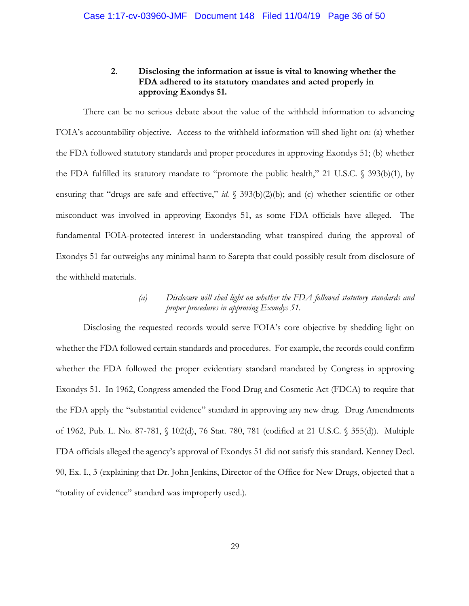## **2. Disclosing the information at issue is vital to knowing whether the FDA adhered to its statutory mandates and acted properly in approving Exondys 51.**

There can be no serious debate about the value of the withheld information to advancing FOIA's accountability objective. Access to the withheld information will shed light on: (a) whether the FDA followed statutory standards and proper procedures in approving Exondys 51; (b) whether the FDA fulfilled its statutory mandate to "promote the public health," 21 U.S.C. § 393(b)(1), by ensuring that "drugs are safe and effective," *id.* § 393(b)(2)(b); and (c) whether scientific or other misconduct was involved in approving Exondys 51, as some FDA officials have alleged. The fundamental FOIA-protected interest in understanding what transpired during the approval of Exondys 51 far outweighs any minimal harm to Sarepta that could possibly result from disclosure of the withheld materials.

## *(a) Disclosure will shed light on whether the FDA followed statutory standards and proper procedures in approving Exondys 51.*

Disclosing the requested records would serve FOIA's core objective by shedding light on whether the FDA followed certain standards and procedures. For example, the records could confirm whether the FDA followed the proper evidentiary standard mandated by Congress in approving Exondys 51. In 1962, Congress amended the Food Drug and Cosmetic Act (FDCA) to require that the FDA apply the "substantial evidence" standard in approving any new drug. Drug Amendments of 1962, Pub. L. No. 87-781, § 102(d), 76 Stat. 780, 781 (codified at 21 U.S.C. § 355(d)). Multiple FDA officials alleged the agency's approval of Exondys 51 did not satisfy this standard. Kenney Decl. 90, Ex. I., 3 (explaining that Dr. John Jenkins, Director of the Office for New Drugs, objected that a "totality of evidence" standard was improperly used.).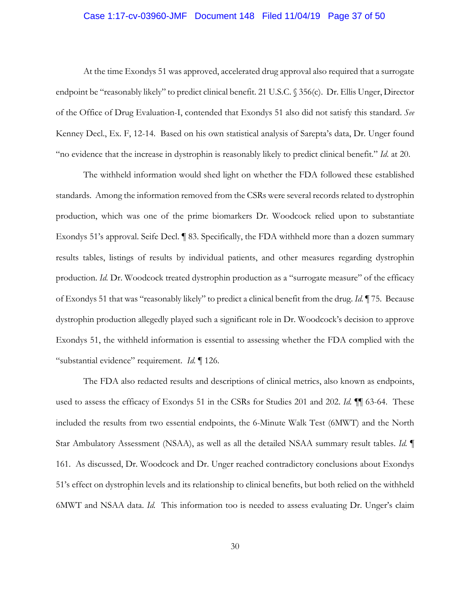#### Case 1:17-cv-03960-JMF Document 148 Filed 11/04/19 Page 37 of 50

At the time Exondys 51 was approved, accelerated drug approval also required that a surrogate endpoint be "reasonably likely" to predict clinical benefit. 21 U.S.C. § 356(c). Dr. Ellis Unger, Director of the Office of Drug Evaluation-I, contended that Exondys 51 also did not satisfy this standard. *See* Kenney Decl., Ex. F, 12-14. Based on his own statistical analysis of Sarepta's data, Dr. Unger found "no evidence that the increase in dystrophin is reasonably likely to predict clinical benefit." *Id*. at 20.

The withheld information would shed light on whether the FDA followed these established standards. Among the information removed from the CSRs were several records related to dystrophin production, which was one of the prime biomarkers Dr. Woodcock relied upon to substantiate Exondys 51's approval. Seife Decl. ¶ 83. Specifically, the FDA withheld more than a dozen summary results tables, listings of results by individual patients, and other measures regarding dystrophin production. *Id.* Dr. Woodcock treated dystrophin production as a "surrogate measure" of the efficacy of Exondys 51 that was "reasonably likely" to predict a clinical benefit from the drug. *Id.* ¶ 75. Because dystrophin production allegedly played such a significant role in Dr. Woodcock's decision to approve Exondys 51, the withheld information is essential to assessing whether the FDA complied with the "substantial evidence" requirement. *Id.* ¶ 126.

The FDA also redacted results and descriptions of clinical metrics, also known as endpoints, used to assess the efficacy of Exondys 51 in the CSRs for Studies 201 and 202. *Id.*  $\P$  63-64. These included the results from two essential endpoints, the 6-Minute Walk Test (6MWT) and the North Star Ambulatory Assessment (NSAA), as well as all the detailed NSAA summary result tables. *Id.* ¶ 161. As discussed, Dr. Woodcock and Dr. Unger reached contradictory conclusions about Exondys 51's effect on dystrophin levels and its relationship to clinical benefits, but both relied on the withheld 6MWT and NSAA data. *Id.* This information too is needed to assess evaluating Dr. Unger's claim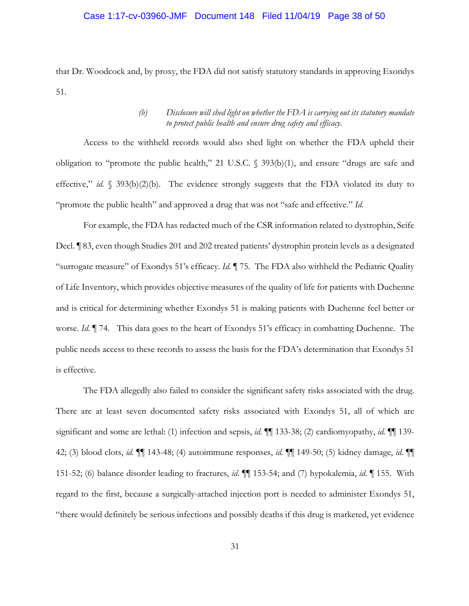#### Case 1:17-cv-03960-JMF Document 148 Filed 11/04/19 Page 38 of 50

that Dr. Woodcock and, by proxy, the FDA did not satisfy statutory standards in approving Exondys 51.

## *(b) Disclosure will shed light on whether the FDA is carrying out its statutory mandate to protect public health and ensure drug safety and efficacy.*

Access to the withheld records would also shed light on whether the FDA upheld their obligation to "promote the public health," 21 U.S.C. § 393(b)(1), and ensure "drugs are safe and effective," *id.* § 393(b)(2)(b). The evidence strongly suggests that the FDA violated its duty to "promote the public health" and approved a drug that was not "safe and effective." *Id.* 

For example, the FDA has redacted much of the CSR information related to dystrophin, Seife Decl. ¶ 83, even though Studies 201 and 202 treated patients' dystrophin protein levels as a designated "surrogate measure" of Exondys 51's efficacy. *Id.* ¶ 75. The FDA also withheld the Pediatric Quality of Life Inventory, which provides objective measures of the quality of life for patients with Duchenne and is critical for determining whether Exondys 51 is making patients with Duchenne feel better or worse. *Id.* ¶ 74. This data goes to the heart of Exondys 51's efficacy in combatting Duchenne. The public needs access to these records to assess the basis for the FDA's determination that Exondys 51 is effective.

The FDA allegedly also failed to consider the significant safety risks associated with the drug. There are at least seven documented safety risks associated with Exondys 51, all of which are significant and some are lethal: (1) infection and sepsis, *id.* ¶¶ 133-38; (2) cardiomyopathy, *id.* ¶¶ 139- 42; (3) blood clots, *id.* ¶¶ 143-48; (4) autoimmune responses, *id.* ¶¶ 149-50; (5) kidney damage, *id.* ¶¶ 151-52; (6) balance disorder leading to fractures, *id.* ¶¶ 153-54; and (7) hypokalemia, *id.* ¶ 155. With regard to the first, because a surgically-attached injection port is needed to administer Exondys 51, "there would definitely be serious infections and possibly deaths if this drug is marketed, yet evidence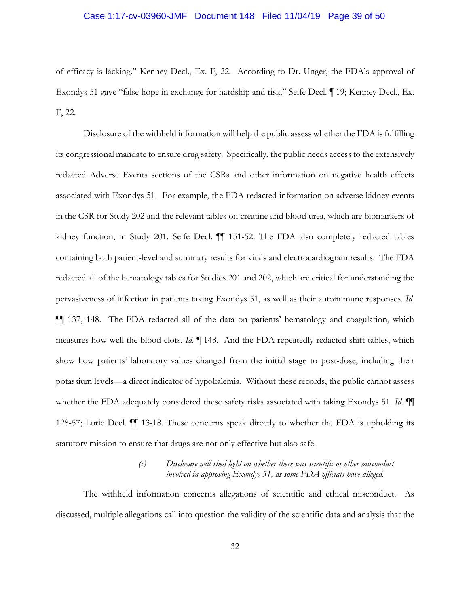#### Case 1:17-cv-03960-JMF Document 148 Filed 11/04/19 Page 39 of 50

of efficacy is lacking." Kenney Decl., Ex. F, 22*.* According to Dr. Unger, the FDA's approval of Exondys 51 gave "false hope in exchange for hardship and risk." Seife Decl. ¶ 19; Kenney Decl., Ex. F, 22.

Disclosure of the withheld information will help the public assess whether the FDA is fulfilling its congressional mandate to ensure drug safety. Specifically, the public needs access to the extensively redacted Adverse Events sections of the CSRs and other information on negative health effects associated with Exondys 51. For example, the FDA redacted information on adverse kidney events in the CSR for Study 202 and the relevant tables on creatine and blood urea, which are biomarkers of kidney function, in Study 201. Seife Decl. ¶¶ 151-52. The FDA also completely redacted tables containing both patient-level and summary results for vitals and electrocardiogram results. The FDA redacted all of the hematology tables for Studies 201 and 202, which are critical for understanding the pervasiveness of infection in patients taking Exondys 51, as well as their autoimmune responses. *Id.* ¶¶ 137, 148. The FDA redacted all of the data on patients' hematology and coagulation, which measures how well the blood clots. *Id.* ¶ 148. And the FDA repeatedly redacted shift tables, which show how patients' laboratory values changed from the initial stage to post-dose, including their potassium levels—a direct indicator of hypokalemia. Without these records, the public cannot assess whether the FDA adequately considered these safety risks associated with taking Exondys 51. *Id.* ¶¶ 128-57; Lurie Decl.  $\P$  13-18. These concerns speak directly to whether the FDA is upholding its statutory mission to ensure that drugs are not only effective but also safe.

## *(c) Disclosure will shed light on whether there was scientific or other misconduct involved in approving Exondys 51, as some FDA officials have alleged.*

The withheld information concerns allegations of scientific and ethical misconduct. As discussed, multiple allegations call into question the validity of the scientific data and analysis that the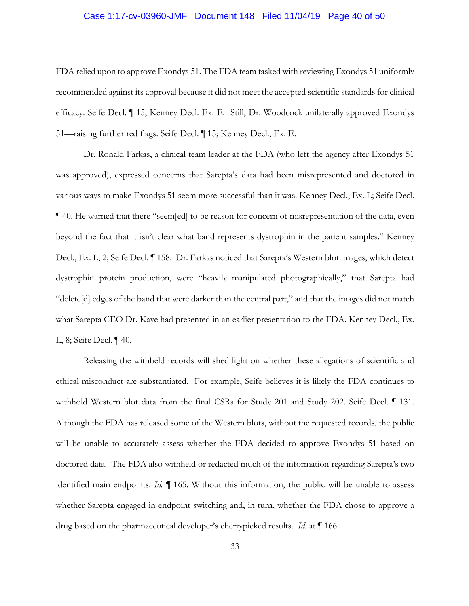#### Case 1:17-cv-03960-JMF Document 148 Filed 11/04/19 Page 40 of 50

FDA relied upon to approve Exondys 51. The FDA team tasked with reviewing Exondys 51 uniformly recommended against its approval because it did not meet the accepted scientific standards for clinical efficacy. Seife Decl. ¶ 15, Kenney Decl. Ex. E. Still, Dr. Woodcock unilaterally approved Exondys 51—raising further red flags. Seife Decl. ¶ 15; Kenney Decl., Ex. E.

Dr. Ronald Farkas, a clinical team leader at the FDA (who left the agency after Exondys 51 was approved), expressed concerns that Sarepta's data had been misrepresented and doctored in various ways to make Exondys 51 seem more successful than it was. Kenney Decl., Ex. L; Seife Decl. ¶ 40. He warned that there "seem[ed] to be reason for concern of misrepresentation of the data, even beyond the fact that it isn't clear what band represents dystrophin in the patient samples." Kenney Decl., Ex. L, 2; Seife Decl. ¶ 158. Dr. Farkas noticed that Sarepta's Western blot images, which detect dystrophin protein production, were "heavily manipulated photographically," that Sarepta had "delete[d] edges of the band that were darker than the central part," and that the images did not match what Sarepta CEO Dr. Kaye had presented in an earlier presentation to the FDA. Kenney Decl., Ex. L, 8; Seife Decl. ¶ 40.

Releasing the withheld records will shed light on whether these allegations of scientific and ethical misconduct are substantiated. For example, Seife believes it is likely the FDA continues to withhold Western blot data from the final CSRs for Study 201 and Study 202. Seife Decl. ¶ 131. Although the FDA has released some of the Western blots, without the requested records, the public will be unable to accurately assess whether the FDA decided to approve Exondys 51 based on doctored data. The FDA also withheld or redacted much of the information regarding Sarepta's two identified main endpoints. *Id.* ¶ 165. Without this information, the public will be unable to assess whether Sarepta engaged in endpoint switching and, in turn, whether the FDA chose to approve a drug based on the pharmaceutical developer's cherrypicked results. *Id*. at ¶ 166.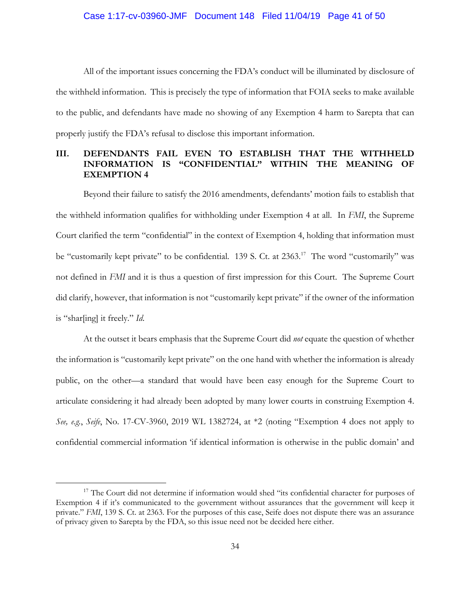#### Case 1:17-cv-03960-JMF Document 148 Filed 11/04/19 Page 41 of 50

All of the important issues concerning the FDA's conduct will be illuminated by disclosure of the withheld information. This is precisely the type of information that FOIA seeks to make available to the public, and defendants have made no showing of any Exemption 4 harm to Sarepta that can properly justify the FDA's refusal to disclose this important information.

## **III. DEFENDANTS FAIL EVEN TO ESTABLISH THAT THE WITHHELD INFORMATION IS "CONFIDENTIAL" WITHIN THE MEANING OF EXEMPTION 4**

Beyond their failure to satisfy the 2016 amendments, defendants' motion fails to establish that the withheld information qualifies for withholding under Exemption 4 at all. In *FMI*, the Supreme Court clarified the term "confidential" in the context of Exemption 4, holding that information must be "customarily kept private" to be confidential. 139 S. Ct. at 2363.<sup>17</sup> The word "customarily" was not defined in *FMI* and it is thus a question of first impression for this Court. The Supreme Court did clarify, however, that information is not "customarily kept private" if the owner of the information is "shar[ing] it freely." *Id*.

At the outset it bears emphasis that the Supreme Court did *not* equate the question of whether the information is "customarily kept private" on the one hand with whether the information is already public, on the other—a standard that would have been easy enough for the Supreme Court to articulate considering it had already been adopted by many lower courts in construing Exemption 4. *See, e.g.*, *Seife*, No. 17-CV-3960, 2019 WL 1382724, at \*2 (noting "Exemption 4 does not apply to confidential commercial information 'if identical information is otherwise in the public domain' and

<sup>&</sup>lt;sup>17</sup> The Court did not determine if information would shed "its confidential character for purposes of Exemption 4 if it's communicated to the government without assurances that the government will keep it private." *FMI*, 139 S. Ct. at 2363. For the purposes of this case, Seife does not dispute there was an assurance of privacy given to Sarepta by the FDA, so this issue need not be decided here either.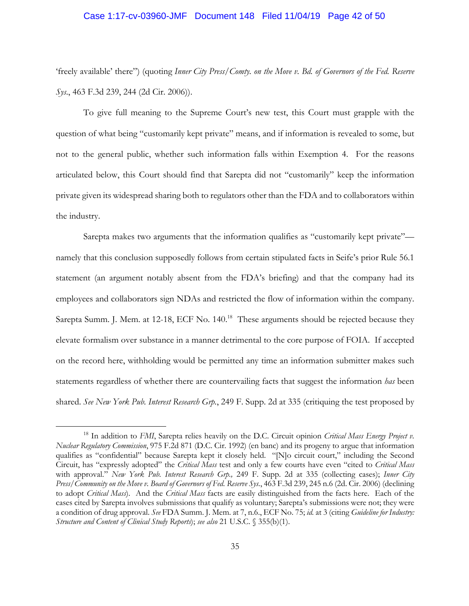#### Case 1:17-cv-03960-JMF Document 148 Filed 11/04/19 Page 42 of 50

'freely available' there") (quoting *Inner City Press/Comty. on the Move v. Bd. of Governors of the Fed. Reserve Sys*., 463 F.3d 239, 244 (2d Cir. 2006)).

To give full meaning to the Supreme Court's new test, this Court must grapple with the question of what being "customarily kept private" means, and if information is revealed to some, but not to the general public, whether such information falls within Exemption 4. For the reasons articulated below, this Court should find that Sarepta did not "customarily" keep the information private given its widespread sharing both to regulators other than the FDA and to collaborators within the industry.

Sarepta makes two arguments that the information qualifies as "customarily kept private" namely that this conclusion supposedly follows from certain stipulated facts in Seife's prior Rule 56.1 statement (an argument notably absent from the FDA's briefing) and that the company had its employees and collaborators sign NDAs and restricted the flow of information within the company. Sarepta Summ. J. Mem. at 12-18, ECF No. 140.<sup>18</sup> These arguments should be rejected because they elevate formalism over substance in a manner detrimental to the core purpose of FOIA. If accepted on the record here, withholding would be permitted any time an information submitter makes such statements regardless of whether there are countervailing facts that suggest the information *has* been shared. *See New York Pub. Interest Research Grp.*, 249 F. Supp. 2d at 335 (critiquing the test proposed by

<sup>&</sup>lt;sup>18</sup> In addition to *FMI*, Sarepta relies heavily on the D.C. Circuit opinion *Critical Mass Energy Project v*. *Nuclear Regulatory Commission*, 975 F.2d 871 (D.C. Cir. 1992) (en banc) and its progeny to argue that information qualifies as "confidential" because Sarepta kept it closely held. "[N]o circuit court," including the Second Circuit, has "expressly adopted" the *Critical Mass* test and only a few courts have even "cited to *Critical Mass* with approval." *New York Pub. Interest Research Grp.,* 249 F. Supp. 2d at 335 (collecting cases); *Inner City Press/Community on the Move v. Board of Governors of Fed. Reserve Sys.*, 463 F.3d 239, 245 n.6 (2d. Cir. 2006) (declining to adopt *Critical Mass*). And the *Critical Mass* facts are easily distinguished from the facts here. Each of the cases cited by Sarepta involves submissions that qualify as voluntary; Sarepta's submissions were not; they were a condition of drug approval. *See* FDA Summ. J. Mem. at 7, n.6., ECF No. 75; *id.* at 3 (citing *Guideline for Industry: Structure and Content of Clinical Study Reports*); *see also* 21 U.S.C. § 355(b)(1).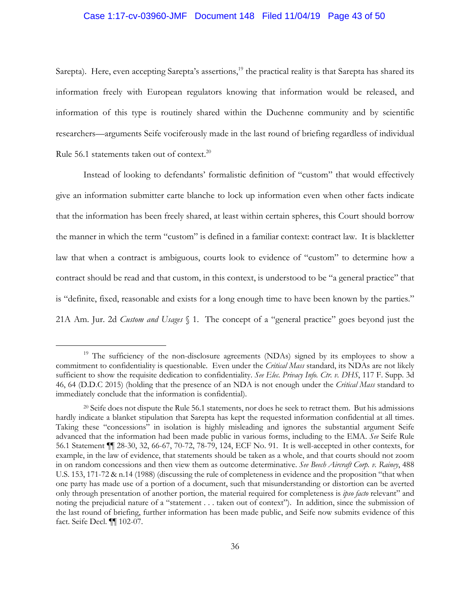#### Case 1:17-cv-03960-JMF Document 148 Filed 11/04/19 Page 43 of 50

Sarepta). Here, even accepting Sarepta's assertions,<sup>19</sup> the practical reality is that Sarepta has shared its information freely with European regulators knowing that information would be released, and information of this type is routinely shared within the Duchenne community and by scientific researchers—arguments Seife vociferously made in the last round of briefing regardless of individual Rule 56.1 statements taken out of context.<sup>20</sup>

Instead of looking to defendants' formalistic definition of "custom" that would effectively give an information submitter carte blanche to lock up information even when other facts indicate that the information has been freely shared, at least within certain spheres, this Court should borrow the manner in which the term "custom" is defined in a familiar context: contract law. It is blackletter law that when a contract is ambiguous, courts look to evidence of "custom" to determine how a contract should be read and that custom, in this context, is understood to be "a general practice" that is "definite, fixed, reasonable and exists for a long enough time to have been known by the parties." 21A Am. Jur. 2d *Custom and Usages* § 1. The concept of a "general practice" goes beyond just the

<sup>&</sup>lt;sup>19</sup> The sufficiency of the non-disclosure agreements (NDAs) signed by its employees to show a commitment to confidentiality is questionable. Even under the *Critical Mass* standard, its NDAs are not likely sufficient to show the requisite dedication to confidentiality. *See Elec. Privacy Info. Ctr. v. DHS*, 117 F. Supp. 3d 46, 64 (D.D.C 2015) (holding that the presence of an NDA is not enough under the *Critical Mass* standard to immediately conclude that the information is confidential).

<sup>20</sup> Seife does not dispute the Rule 56.1 statements, nor does he seek to retract them. But his admissions hardly indicate a blanket stipulation that Sarepta has kept the requested information confidential at all times. Taking these "concessions" in isolation is highly misleading and ignores the substantial argument Seife advanced that the information had been made public in various forms, including to the EMA. *See* Seife Rule 56.1 Statement ¶¶ 28-30, 32, 66-67, 70-72, 78-79, 124, ECF No. 91. It is well-accepted in other contexts, for example, in the law of evidence, that statements should be taken as a whole, and that courts should not zoom in on random concessions and then view them as outcome determinative. *See Beech Aircraft Corp. v. Rainey*, 488 U.S. 153, 171-72 & n.14 (1988) (discussing the rule of completeness in evidence and the proposition "that when one party has made use of a portion of a document, such that misunderstanding or distortion can be averted only through presentation of another portion, the material required for completeness is *ipso facto* relevant" and noting the prejudicial nature of a "statement . . . taken out of context"). In addition, since the submission of the last round of briefing, further information has been made public, and Seife now submits evidence of this fact. Seife Decl. ¶¶ 102-07.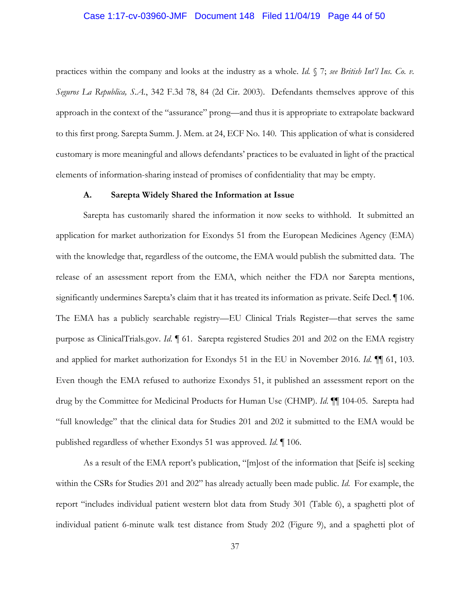#### Case 1:17-cv-03960-JMF Document 148 Filed 11/04/19 Page 44 of 50

practices within the company and looks at the industry as a whole. *Id.* § 7; *see British Int'l Ins. Co. v. Seguros La Republica, S.A.*, 342 F.3d 78, 84 (2d Cir. 2003). Defendants themselves approve of this approach in the context of the "assurance" prong—and thus it is appropriate to extrapolate backward to this first prong. Sarepta Summ. J. Mem. at 24, ECF No. 140. This application of what is considered customary is more meaningful and allows defendants' practices to be evaluated in light of the practical elements of information-sharing instead of promises of confidentiality that may be empty.

## **A. Sarepta Widely Shared the Information at Issue**

Sarepta has customarily shared the information it now seeks to withhold. It submitted an application for market authorization for Exondys 51 from the European Medicines Agency (EMA) with the knowledge that, regardless of the outcome, the EMA would publish the submitted data. The release of an assessment report from the EMA, which neither the FDA nor Sarepta mentions, significantly undermines Sarepta's claim that it has treated its information as private. Seife Decl. ¶ 106. The EMA has a publicly searchable registry—EU Clinical Trials Register—that serves the same purpose as ClinicalTrials.gov. *Id*. ¶ 61. Sarepta registered Studies 201 and 202 on the EMA registry and applied for market authorization for Exondys 51 in the EU in November 2016. *Id*. ¶¶ 61, 103. Even though the EMA refused to authorize Exondys 51, it published an assessment report on the drug by the Committee for Medicinal Products for Human Use (CHMP). *Id*. ¶¶ 104-05. Sarepta had "full knowledge" that the clinical data for Studies 201 and 202 it submitted to the EMA would be published regardless of whether Exondys 51 was approved. *Id*. ¶ 106.

As a result of the EMA report's publication, "[m]ost of the information that [Seife is] seeking within the CSRs for Studies 201 and 202" has already actually been made public. *Id*. For example, the report "includes individual patient western blot data from Study 301 (Table 6), a spaghetti plot of individual patient 6-minute walk test distance from Study 202 (Figure 9), and a spaghetti plot of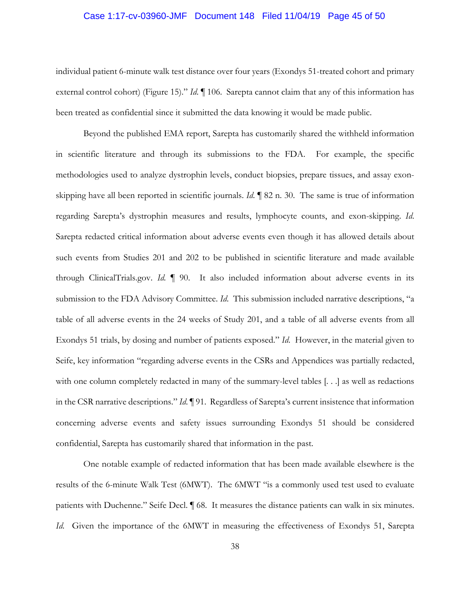#### Case 1:17-cv-03960-JMF Document 148 Filed 11/04/19 Page 45 of 50

individual patient 6-minute walk test distance over four years (Exondys 51-treated cohort and primary external control cohort) (Figure 15)." *Id.*  $\llbracket$  106. Sarepta cannot claim that any of this information has been treated as confidential since it submitted the data knowing it would be made public.

Beyond the published EMA report, Sarepta has customarily shared the withheld information in scientific literature and through its submissions to the FDA. For example, the specific methodologies used to analyze dystrophin levels, conduct biopsies, prepare tissues, and assay exonskipping have all been reported in scientific journals. *Id*. ¶ 82 n. 30. The same is true of information regarding Sarepta's dystrophin measures and results, lymphocyte counts, and exon-skipping. *Id*. Sarepta redacted critical information about adverse events even though it has allowed details about such events from Studies 201 and 202 to be published in scientific literature and made available through ClinicalTrials.gov. *Id.* ¶ 90. It also included information about adverse events in its submission to the FDA Advisory Committee. *Id*. This submission included narrative descriptions, "a table of all adverse events in the 24 weeks of Study 201, and a table of all adverse events from all Exondys 51 trials, by dosing and number of patients exposed." *Id*. However, in the material given to Seife, key information "regarding adverse events in the CSRs and Appendices was partially redacted, with one column completely redacted in many of the summary-level tables [...] as well as redactions in the CSR narrative descriptions." *Id*. ¶ 91. Regardless of Sarepta's current insistence that information concerning adverse events and safety issues surrounding Exondys 51 should be considered confidential, Sarepta has customarily shared that information in the past.

One notable example of redacted information that has been made available elsewhere is the results of the 6-minute Walk Test (6MWT). The 6MWT "is a commonly used test used to evaluate patients with Duchenne." Seife Decl. ¶ 68. It measures the distance patients can walk in six minutes. *Id*. Given the importance of the 6MWT in measuring the effectiveness of Exondys 51, Sarepta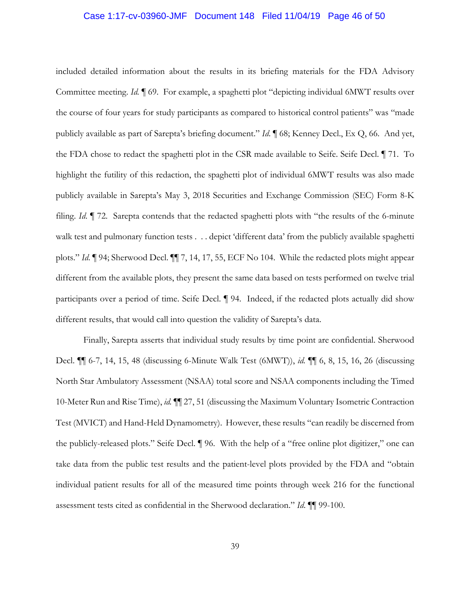#### Case 1:17-cv-03960-JMF Document 148 Filed 11/04/19 Page 46 of 50

included detailed information about the results in its briefing materials for the FDA Advisory Committee meeting. *Id.* ¶ 69. For example, a spaghetti plot "depicting individual 6MWT results over the course of four years for study participants as compared to historical control patients" was "made publicly available as part of Sarepta's briefing document." *Id*. ¶ 68; Kenney Decl., Ex Q, 66. And yet, the FDA chose to redact the spaghetti plot in the CSR made available to Seife. Seife Decl. ¶ 71. To highlight the futility of this redaction, the spaghetti plot of individual 6MWT results was also made publicly available in Sarepta's May 3, 2018 Securities and Exchange Commission (SEC) Form 8-K filing. *Id*. ¶ 72. Sarepta contends that the redacted spaghetti plots with "the results of the 6-minute walk test and pulmonary function tests . . . depict 'different data' from the publicly available spaghetti plots." *Id*. ¶ 94; Sherwood Decl. ¶¶ 7, 14, 17, 55, ECF No 104. While the redacted plots might appear different from the available plots, they present the same data based on tests performed on twelve trial participants over a period of time. Seife Decl. ¶ 94. Indeed, if the redacted plots actually did show different results, that would call into question the validity of Sarepta's data.

Finally, Sarepta asserts that individual study results by time point are confidential. Sherwood Decl. ¶¶ 6-7, 14, 15, 48 (discussing 6-Minute Walk Test (6MWT)), *id.* ¶¶ 6, 8, 15, 16, 26 (discussing North Star Ambulatory Assessment (NSAA) total score and NSAA components including the Timed 10-Meter Run and Rise Time), *id.* ¶¶ 27, 51 (discussing the Maximum Voluntary Isometric Contraction Test (MVICT) and Hand-Held Dynamometry). However, these results "can readily be discerned from the publicly-released plots." Seife Decl. ¶ 96. With the help of a "free online plot digitizer," one can take data from the public test results and the patient-level plots provided by the FDA and "obtain individual patient results for all of the measured time points through week 216 for the functional assessment tests cited as confidential in the Sherwood declaration." *Id*. ¶¶ 99-100.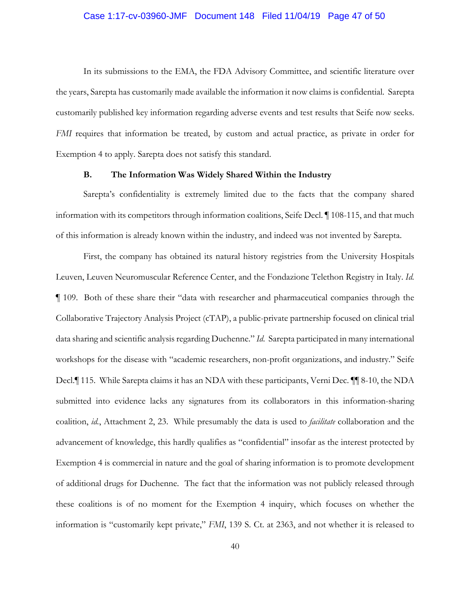#### Case 1:17-cv-03960-JMF Document 148 Filed 11/04/19 Page 47 of 50

In its submissions to the EMA, the FDA Advisory Committee, and scientific literature over the years, Sarepta has customarily made available the information it now claims is confidential. Sarepta customarily published key information regarding adverse events and test results that Seife now seeks. *FMI* requires that information be treated, by custom and actual practice, as private in order for Exemption 4 to apply. Sarepta does not satisfy this standard.

## **B. The Information Was Widely Shared Within the Industry**

Sarepta's confidentiality is extremely limited due to the facts that the company shared information with its competitors through information coalitions, Seife Decl. ¶ 108-115, and that much of this information is already known within the industry, and indeed was not invented by Sarepta.

First, the company has obtained its natural history registries from the University Hospitals Leuven, Leuven Neuromuscular Reference Center, and the Fondazione Telethon Registry in Italy. *Id.*  ¶ 109. Both of these share their "data with researcher and pharmaceutical companies through the Collaborative Trajectory Analysis Project (cTAP), a public-private partnership focused on clinical trial data sharing and scientific analysis regarding Duchenne." *Id*. Sarepta participated in many international workshops for the disease with "academic researchers, non-profit organizations, and industry." Seife Decl.¶ 115. While Sarepta claims it has an NDA with these participants, Verni Dec. ¶¶ 8-10, the NDA submitted into evidence lacks any signatures from its collaborators in this information-sharing coalition, *id.*, Attachment 2, 23. While presumably the data is used to *facilitate* collaboration and the advancement of knowledge, this hardly qualifies as "confidential" insofar as the interest protected by Exemption 4 is commercial in nature and the goal of sharing information is to promote development of additional drugs for Duchenne. The fact that the information was not publicly released through these coalitions is of no moment for the Exemption 4 inquiry, which focuses on whether the information is "customarily kept private," *FMI*, 139 S. Ct. at 2363, and not whether it is released to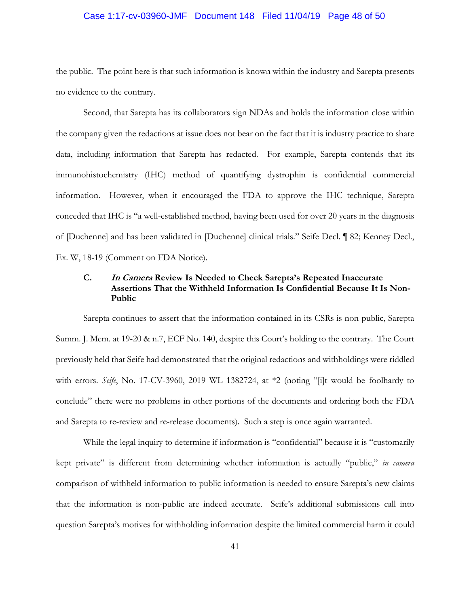#### Case 1:17-cv-03960-JMF Document 148 Filed 11/04/19 Page 48 of 50

the public. The point here is that such information is known within the industry and Sarepta presents no evidence to the contrary.

Second, that Sarepta has its collaborators sign NDAs and holds the information close within the company given the redactions at issue does not bear on the fact that it is industry practice to share data, including information that Sarepta has redacted. For example, Sarepta contends that its immunohistochemistry (IHC) method of quantifying dystrophin is confidential commercial information. However, when it encouraged the FDA to approve the IHC technique, Sarepta conceded that IHC is "a well-established method, having been used for over 20 years in the diagnosis of [Duchenne] and has been validated in [Duchenne] clinical trials." Seife Decl. ¶ 82; Kenney Decl., Ex. W, 18-19 (Comment on FDA Notice).

## **C. In Camera Review Is Needed to Check Sarepta's Repeated Inaccurate Assertions That the Withheld Information Is Confidential Because It Is Non-Public**

Sarepta continues to assert that the information contained in its CSRs is non-public, Sarepta Summ. J. Mem. at 19-20 & n.7, ECF No. 140, despite this Court's holding to the contrary. The Court previously held that Seife had demonstrated that the original redactions and withholdings were riddled with errors. *Seife*, No. 17-CV-3960, 2019 WL 1382724, at \*2 (noting "[i]t would be foolhardy to conclude" there were no problems in other portions of the documents and ordering both the FDA and Sarepta to re-review and re-release documents). Such a step is once again warranted.

While the legal inquiry to determine if information is "confidential" because it is "customarily kept private" is different from determining whether information is actually "public," *in camera* comparison of withheld information to public information is needed to ensure Sarepta's new claims that the information is non-public are indeed accurate. Seife's additional submissions call into question Sarepta's motives for withholding information despite the limited commercial harm it could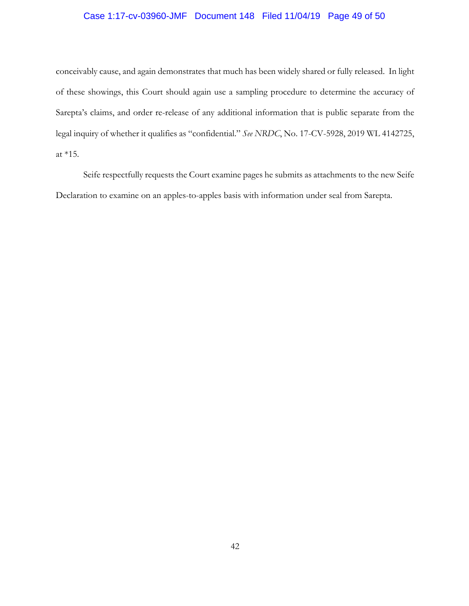## Case 1:17-cv-03960-JMF Document 148 Filed 11/04/19 Page 49 of 50

conceivably cause, and again demonstrates that much has been widely shared or fully released. In light of these showings, this Court should again use a sampling procedure to determine the accuracy of Sarepta's claims, and order re-release of any additional information that is public separate from the legal inquiry of whether it qualifies as "confidential." *See NRDC*, No. 17-CV-5928, 2019 WL 4142725, at \*15.

Seife respectfully requests the Court examine pages he submits as attachments to the new Seife Declaration to examine on an apples-to-apples basis with information under seal from Sarepta.